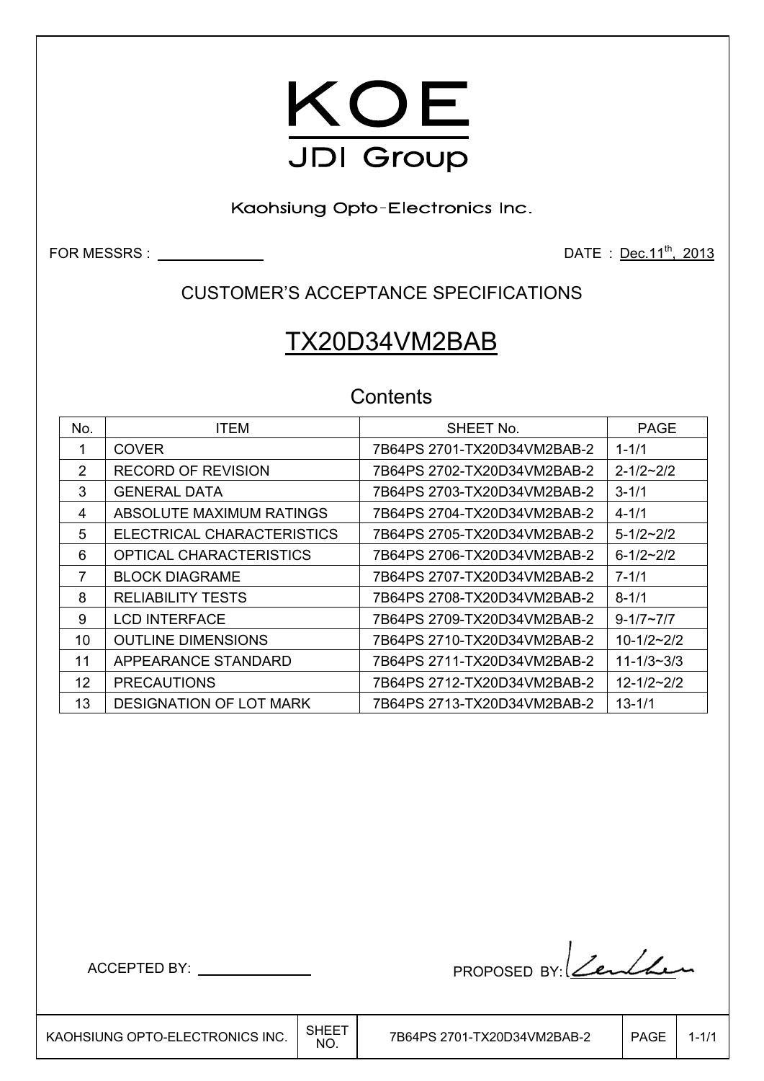

Kaohsiung Opto-Electronics Inc.

FOR MESSRS : Dec.11<sup>th</sup>, 2013

### CUSTOMER'S ACCEPTANCE SPECIFICATIONS

# TX20D34VM2BAB

### **Contents**

| No. | <b>ITEM</b>                    | SHEET No.                   | <b>PAGE</b>        |
|-----|--------------------------------|-----------------------------|--------------------|
|     | <b>COVER</b>                   | 7B64PS 2701-TX20D34VM2BAB-2 | $1 - 1/1$          |
| 2   | <b>RECORD OF REVISION</b>      |                             | $2 - 1/2 - 2/2$    |
| 3   | <b>GENERAL DATA</b>            | 7B64PS 2703-TX20D34VM2BAB-2 | $3 - 1/1$          |
| 4   | ABSOLUTE MAXIMUM RATINGS       | 7B64PS 2704-TX20D34VM2BAB-2 | $4 - 1/1$          |
| 5   | ELECTRICAL CHARACTERISTICS     | 7B64PS 2705-TX20D34VM2BAB-2 | $5 - 1/2 \sim 2/2$ |
| 6   | OPTICAL CHARACTERISTICS        | 7B64PS 2706-TX20D34VM2BAB-2 | $6 - 1/2 - 2/2$    |
| 7   | <b>BLOCK DIAGRAME</b>          |                             | $7 - 1/1$          |
| 8   | <b>RELIABILITY TESTS</b>       |                             | $8 - 1/1$          |
| 9   | <b>LCD INTERFACE</b>           | 7B64PS 2709-TX20D34VM2BAB-2 | $9 - 1/7 \sim 7/7$ |
| 10  | <b>OUTLINE DIMENSIONS</b>      |                             | $10 - 1/2 - 2/2$   |
| 11  | APPEARANCE STANDARD            |                             | $11 - 1/3 - 3/3$   |
| 12  | <b>PRECAUTIONS</b>             |                             | $12 - 1/2 - 2/2$   |
| 13  | <b>DESIGNATION OF LOT MARK</b> | 7B64PS 2713-TX20D34VM2BAB-2 | $13 - 1/1$         |

ACCEPTED BY: PROPOSED BY: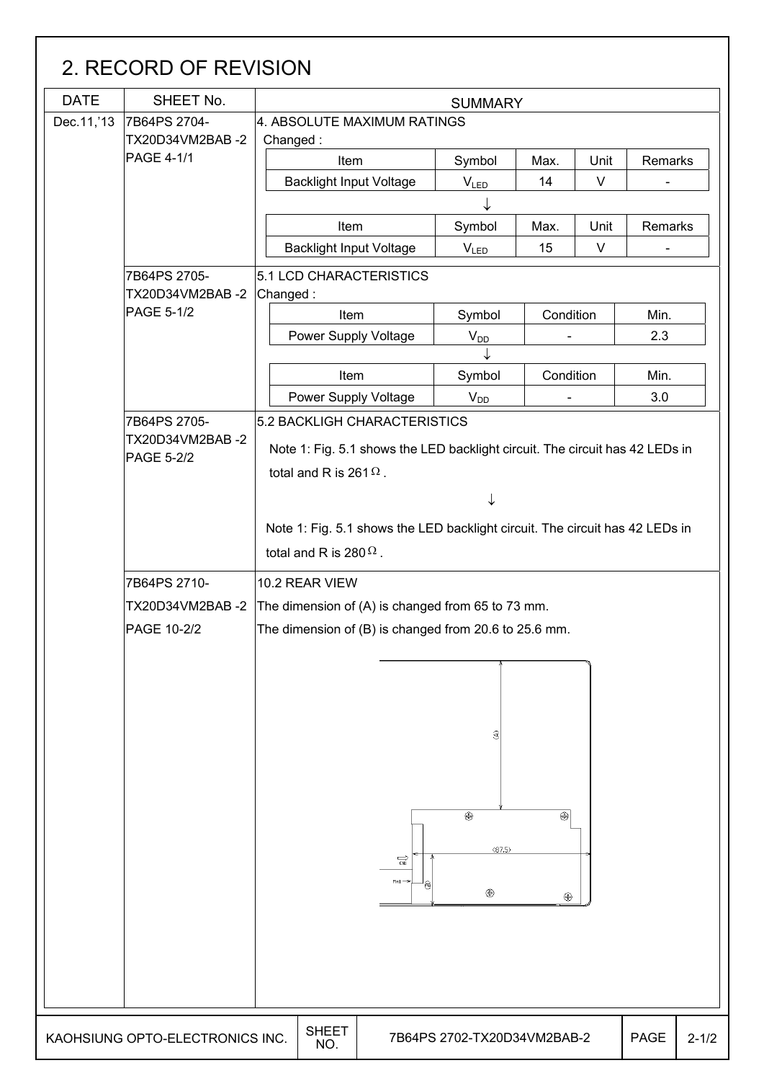| <b>DATE</b> | SHEET No.                       |                                                                              |                       | <b>SUMMARY</b>              |           |        |             |           |  |
|-------------|---------------------------------|------------------------------------------------------------------------------|-----------------------|-----------------------------|-----------|--------|-------------|-----------|--|
| Dec.11,'13  | 7B64PS 2704-                    | 4. ABSOLUTE MAXIMUM RATINGS                                                  |                       |                             |           |        |             |           |  |
|             | TX20D34VM2BAB-2                 | Changed:                                                                     |                       |                             |           |        |             |           |  |
|             | <b>PAGE 4-1/1</b>               | Item                                                                         |                       | Symbol                      | Max.      | Unit   | Remarks     |           |  |
|             |                                 | <b>Backlight Input Voltage</b>                                               |                       | $V_{LED}$                   | 14        | $\vee$ |             |           |  |
|             |                                 |                                                                              |                       |                             |           |        |             |           |  |
|             |                                 | Item                                                                         |                       | Symbol                      | Max.      | Unit   | Remarks     |           |  |
|             |                                 | <b>Backlight Input Voltage</b>                                               |                       | <b>VLED</b>                 | 15        | $\vee$ |             |           |  |
|             | 7B64PS 2705-                    | 5.1 LCD CHARACTERISTICS                                                      |                       |                             |           |        |             |           |  |
|             | TX20D34VM2BAB-2                 | Changed:                                                                     |                       |                             |           |        |             |           |  |
|             | PAGE 5-1/2                      | Item                                                                         |                       | Symbol                      | Condition |        | Min.        |           |  |
|             |                                 | Power Supply Voltage                                                         |                       | $V_{D\underline{D}}$        |           |        | 2.3         |           |  |
|             |                                 |                                                                              |                       |                             |           |        |             |           |  |
|             |                                 | Item                                                                         |                       | Symbol                      | Condition |        | Min.        |           |  |
|             |                                 | <b>Power Supply Voltage</b>                                                  |                       | V <sub>DD</sub>             |           |        | 3.0         |           |  |
|             | 7B64PS 2705-                    | 5.2 BACKLIGH CHARACTERISTICS                                                 |                       |                             |           |        |             |           |  |
|             | TX20D34VM2BAB-2                 | Note 1: Fig. 5.1 shows the LED backlight circuit. The circuit has 42 LEDs in |                       |                             |           |        |             |           |  |
|             | <b>PAGE 5-2/2</b>               | total and R is 261 $\Omega$ .                                                |                       |                             |           |        |             |           |  |
|             |                                 |                                                                              |                       |                             |           |        |             |           |  |
|             |                                 |                                                                              |                       | ↓                           |           |        |             |           |  |
|             |                                 | Note 1: Fig. 5.1 shows the LED backlight circuit. The circuit has 42 LEDs in |                       |                             |           |        |             |           |  |
|             |                                 | total and R is 280 $\Omega$ .                                                |                       |                             |           |        |             |           |  |
|             | 7B64PS 2710-                    | 10.2 REAR VIEW                                                               |                       |                             |           |        |             |           |  |
|             | TX20D34VM2BAB-2                 | The dimension of (A) is changed from 65 to 73 mm.                            |                       |                             |           |        |             |           |  |
|             | PAGE 10-2/2                     | The dimension of (B) is changed from 20.6 to 25.6 mm.                        |                       |                             |           |        |             |           |  |
|             |                                 |                                                                              |                       |                             |           |        |             |           |  |
|             |                                 |                                                                              |                       |                             |           |        |             |           |  |
|             |                                 |                                                                              |                       |                             |           |        |             |           |  |
|             |                                 |                                                                              |                       |                             |           |        |             |           |  |
|             |                                 |                                                                              |                       | €                           |           |        |             |           |  |
|             |                                 |                                                                              |                       |                             |           |        |             |           |  |
|             |                                 |                                                                              |                       |                             |           |        |             |           |  |
|             |                                 |                                                                              |                       |                             |           |        |             |           |  |
|             |                                 |                                                                              |                       | $\overline{\circledast}$    | ⊛∣        |        |             |           |  |
|             |                                 |                                                                              |                       |                             |           |        |             |           |  |
|             |                                 |                                                                              |                       | (87.5)                      |           |        |             |           |  |
|             |                                 |                                                                              | $\overrightarrow{cm}$ |                             |           |        |             |           |  |
|             |                                 |                                                                              | ê                     | ⊕                           | ⊕         |        |             |           |  |
|             |                                 |                                                                              |                       |                             |           |        |             |           |  |
|             |                                 |                                                                              |                       |                             |           |        |             |           |  |
|             |                                 |                                                                              |                       |                             |           |        |             |           |  |
|             |                                 |                                                                              |                       |                             |           |        |             |           |  |
|             |                                 |                                                                              |                       |                             |           |        |             |           |  |
|             |                                 |                                                                              |                       |                             |           |        |             |           |  |
|             | KAOHSIUNG OPTO-ELECTRONICS INC. | <b>SHEET</b><br>NO.                                                          |                       | 7B64PS 2702-TX20D34VM2BAB-2 |           |        | <b>PAGE</b> | $2 - 1/2$ |  |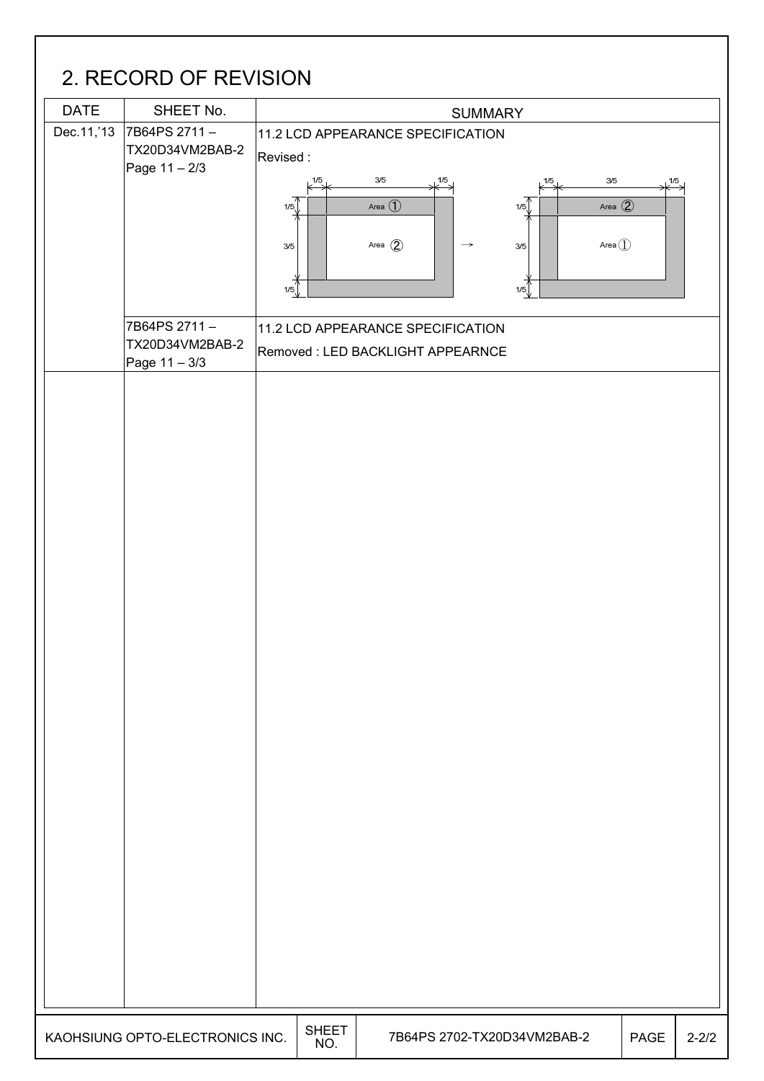# 2. RECORD OF REVISION

|             | 2. I LOUI D'UI I LE VIUIUI I                     |                                 |                                                                                                    |                                             |                                                                    |           |
|-------------|--------------------------------------------------|---------------------------------|----------------------------------------------------------------------------------------------------|---------------------------------------------|--------------------------------------------------------------------|-----------|
| <b>DATE</b> | SHEET No.                                        | <b>SUMMARY</b>                  |                                                                                                    |                                             |                                                                    |           |
| Dec.11,'13  | 7B64PS 2711-<br>TX20D34VM2BAB-2<br>Page 11 - 2/3 | Revised:<br>1/5<br>1/5<br>$3/5$ | 11.2 LCD APPEARANCE SPECIFICATION<br>$3/5$<br>$\downarrow^{1/5}$<br>Area $\bigoplus$<br>Area $(2)$ | $3/5$<br>1/5<br>1/5<br>3/5<br>$\rightarrow$ | $\downarrow^{1/5}$<br>Area $\circled{2}$<br>Area $\textcircled{1}$ |           |
|             | 7B64PS 2711-<br>TX20D34VM2BAB-2<br>Page 11 - 3/3 | 1/5                             | 11.2 LCD APPEARANCE SPECIFICATION<br>Removed: LED BACKLIGHT APPEARNCE                              | 1/5                                         |                                                                    |           |
|             |                                                  |                                 |                                                                                                    |                                             |                                                                    |           |
|             | KAOHSIUNG OPTO-ELECTRONICS INC.                  | <b>SHEET</b><br>NO.             |                                                                                                    | 7B64PS 2702-TX20D34VM2BAB-2                 | PAGE                                                               | $2 - 2/2$ |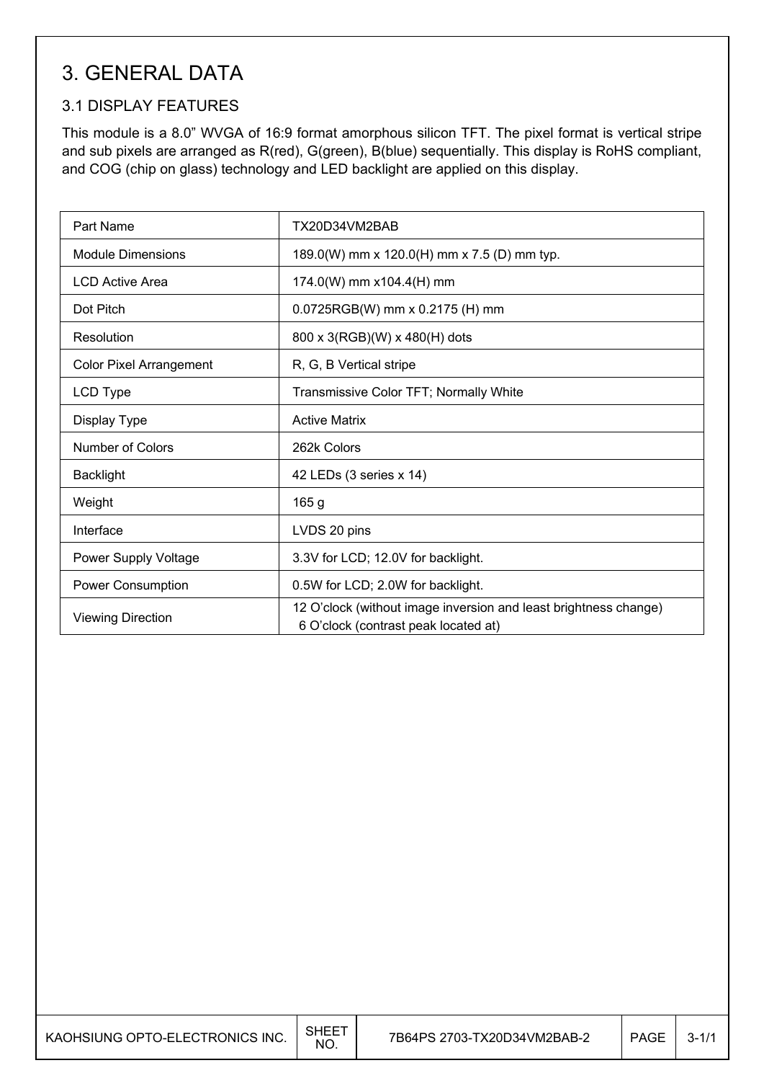## 3. GENERAL DATA

### 3.1 DISPLAY FEATURES

This module is a 8.0" WVGA of 16:9 format amorphous silicon TFT. The pixel format is vertical stripe and sub pixels are arranged as R(red), G(green), B(blue) sequentially. This display is RoHS compliant, and COG (chip on glass) technology and LED backlight are applied on this display.

| Part Name                      | TX20D34VM2BAB                                                                                            |
|--------------------------------|----------------------------------------------------------------------------------------------------------|
| <b>Module Dimensions</b>       | 189.0(W) mm x 120.0(H) mm x 7.5 (D) mm typ.                                                              |
| <b>LCD Active Area</b>         | 174.0(W) mm x104.4(H) mm                                                                                 |
| Dot Pitch                      | 0.0725RGB(W) mm x 0.2175 (H) mm                                                                          |
| Resolution                     | 800 x 3(RGB)(W) x 480(H) dots                                                                            |
| <b>Color Pixel Arrangement</b> | R, G, B Vertical stripe                                                                                  |
| LCD Type                       | Transmissive Color TFT; Normally White                                                                   |
| Display Type                   | <b>Active Matrix</b>                                                                                     |
| Number of Colors               | 262k Colors                                                                                              |
| <b>Backlight</b>               | 42 LEDs (3 series x 14)                                                                                  |
| Weight                         | 165 g                                                                                                    |
| Interface                      | LVDS 20 pins                                                                                             |
| Power Supply Voltage           | 3.3V for LCD; 12.0V for backlight.                                                                       |
| Power Consumption              | 0.5W for LCD; 2.0W for backlight.                                                                        |
| <b>Viewing Direction</b>       | 12 O'clock (without image inversion and least brightness change)<br>6 O'clock (contrast peak located at) |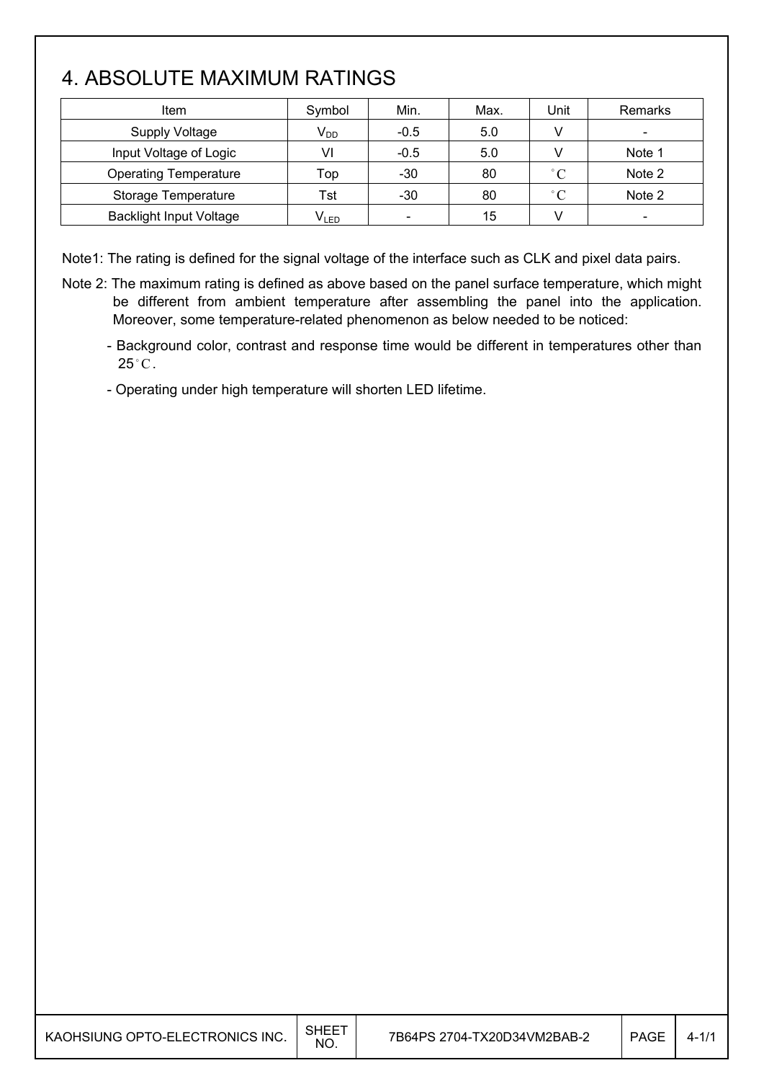## 4. ABSOLUTE MAXIMUM RATINGS

| Item                           | Symbol    | Min.                     | Max. | Unit         | Remarks                  |
|--------------------------------|-----------|--------------------------|------|--------------|--------------------------|
| <b>Supply Voltage</b>          | $V_{DD}$  | $-0.5$                   | 5.0  |              |                          |
| Input Voltage of Logic         | VI        | $-0.5$                   | 5.0  |              | Note 1                   |
| <b>Operating Temperature</b>   | Top       | $-30$                    | 80   | $^{\circ}$ C | Note 2                   |
| Storage Temperature            | Tst       | $-30$                    | 80   | $^{\circ}$ C | Note 2                   |
| <b>Backlight Input Voltage</b> | $V_{LED}$ | $\overline{\phantom{a}}$ | 15   | v            | $\overline{\phantom{a}}$ |

Note1: The rating is defined for the signal voltage of the interface such as CLK and pixel data pairs.

- Note 2: The maximum rating is defined as above based on the panel surface temperature, which might be different from ambient temperature after assembling the panel into the application. Moreover, some temperature-related phenomenon as below needed to be noticed:
	- Background color, contrast and response time would be different in temperatures other than  $25^{\circ}$ C.

- Operating under high temperature will shorten LED lifetime.

| KAOHSIUNG OPTO-ELECTRONICS INC. | <b>SHEET</b><br>NO. | 7B64PS 2704-TX20D34VM2BAB-2 | <b>PAGE</b> | $4 - 1/1$ |
|---------------------------------|---------------------|-----------------------------|-------------|-----------|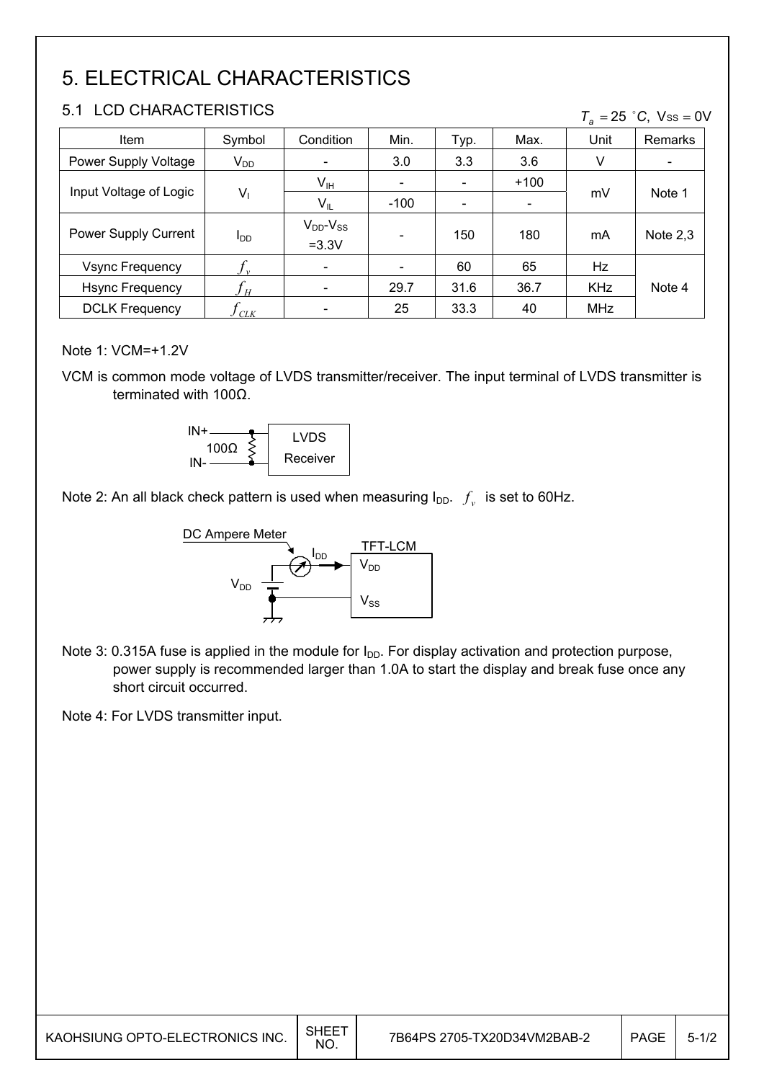# 5. ELECTRICAL CHARACTERISTICS

#### 5.1 LCD CHARACTERISTICS

| 5.1<br>- LUD UHARAUTERISTIUS<br>$T_a = 25$ °C, Vss = 0V |                        |                                |                          |                          |        |            |            |
|---------------------------------------------------------|------------------------|--------------------------------|--------------------------|--------------------------|--------|------------|------------|
| Item                                                    | Symbol                 | Condition                      | Min.                     | Typ.                     | Max.   | Unit       | Remarks    |
| Power Supply Voltage                                    | $V_{DD}$               | $\overline{\phantom{a}}$       | 3.0                      | 3.3                      | 3.6    | V          |            |
| Input Voltage of Logic                                  |                        | $V_{\text{IH}}$                | $\overline{\phantom{0}}$ | $\overline{\phantom{a}}$ | $+100$ |            | Note 1     |
|                                                         | $V_1$                  | $V_{IL}$                       | $-100$                   |                          |        | mV         |            |
| Power Supply Current                                    | <b>I</b> <sub>DD</sub> | $V_{DD}$ - $V_{SS}$<br>$=3.3V$ |                          | 150                      | 180    | mA         | Note $2,3$ |
| <b>Vsync Frequency</b>                                  |                        | $\overline{\phantom{a}}$       |                          | 60                       | 65     | Hz         |            |
| <b>Hsync Frequency</b>                                  | $J_H$                  | $\overline{\phantom{a}}$       | 29.7                     | 31.6                     | 36.7   | <b>KHz</b> | Note 4     |
| <b>DCLK Frequency</b>                                   | CLK                    | $\overline{\phantom{a}}$       | 25                       | 33.3                     | 40     | <b>MHz</b> |            |

#### Note 1: VCM=+1.2V

VCM is common mode voltage of LVDS transmitter/receiver. The input terminal of LVDS transmitter is terminated with  $100\Omega$ .



Note 2: An all black check pattern is used when measuring  $I_{DD}$ .  $f_v$  is set to 60Hz.



Note 3: 0.315A fuse is applied in the module for  $I_{DD}$ . For display activation and protection purpose, power supply is recommended larger than 1.0A to start the display and break fuse once any short circuit occurred.

Note 4: For LVDS transmitter input.

| KAOHSIUNG OPTO-ELECTRONICS INC. | SHEET<br>NO. | 7B64PS 2705-TX20D34VM2BAB-2 | <b>PAGE</b> | $5 - 1/2$ |
|---------------------------------|--------------|-----------------------------|-------------|-----------|
|                                 |              |                             |             |           |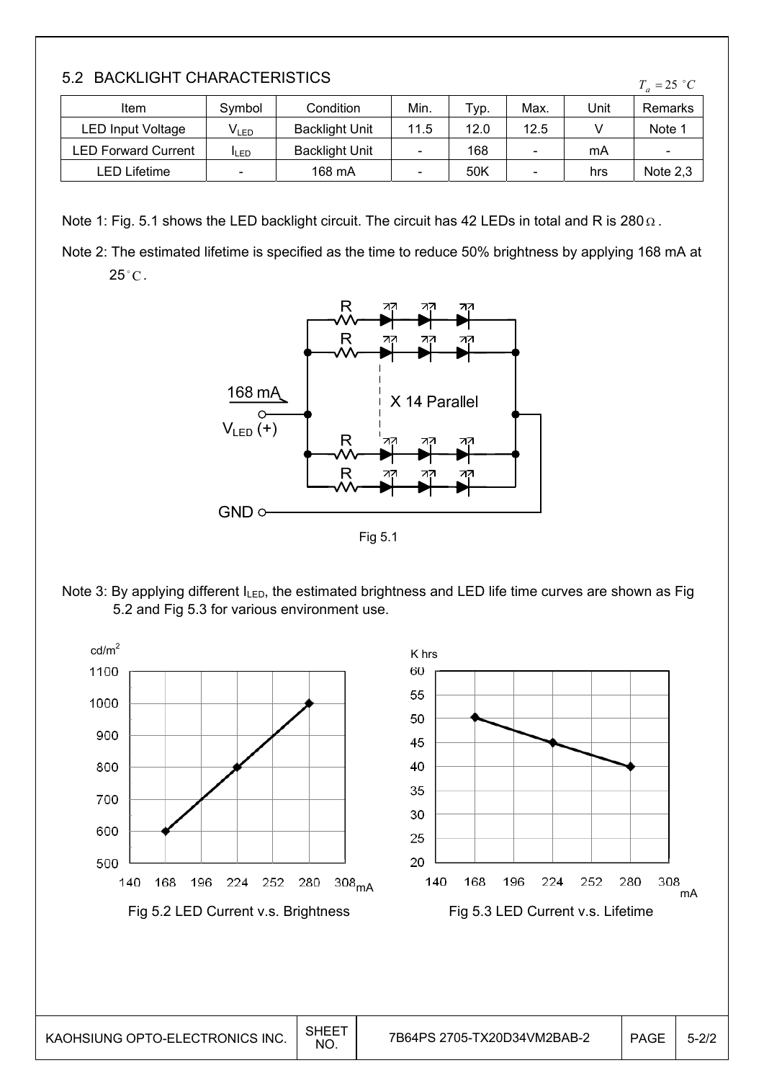|  | 5.2 BACKLIGHT CHARACTERISTICS |
|--|-------------------------------|
|  |                               |

| Item                       | Symbol      | Condition             | Min. | Typ. | Max. | Unit | Remarks                  |
|----------------------------|-------------|-----------------------|------|------|------|------|--------------------------|
| LED Input Voltage          | V∟ED        | <b>Backlight Unit</b> | 11.5 | 12.0 | 12.5 |      | Note 1                   |
| <b>LED Forward Current</b> | <b>ILED</b> | <b>Backlight Unit</b> |      | 168  |      | mA   | $\overline{\phantom{a}}$ |
| LED Lifetime               | $\sim$      | 168 mA                |      | 50K  |      | hrs  | Note $2,3$               |

Note 1: Fig. 5.1 shows the LED backlight circuit. The circuit has 42 LEDs in total and R is 280  $\Omega$ .

Note 2: The estimated lifetime is specified as the time to reduce 50% brightness by applying 168 mA at  $25^{\circ}$ C.



Fig 5.1

Note 3: By applying different I<sub>LED</sub>, the estimated brightness and LED life time curves are shown as Fig 5.2 and Fig 5.3 for various environment use.



 $T_a = 25$  °C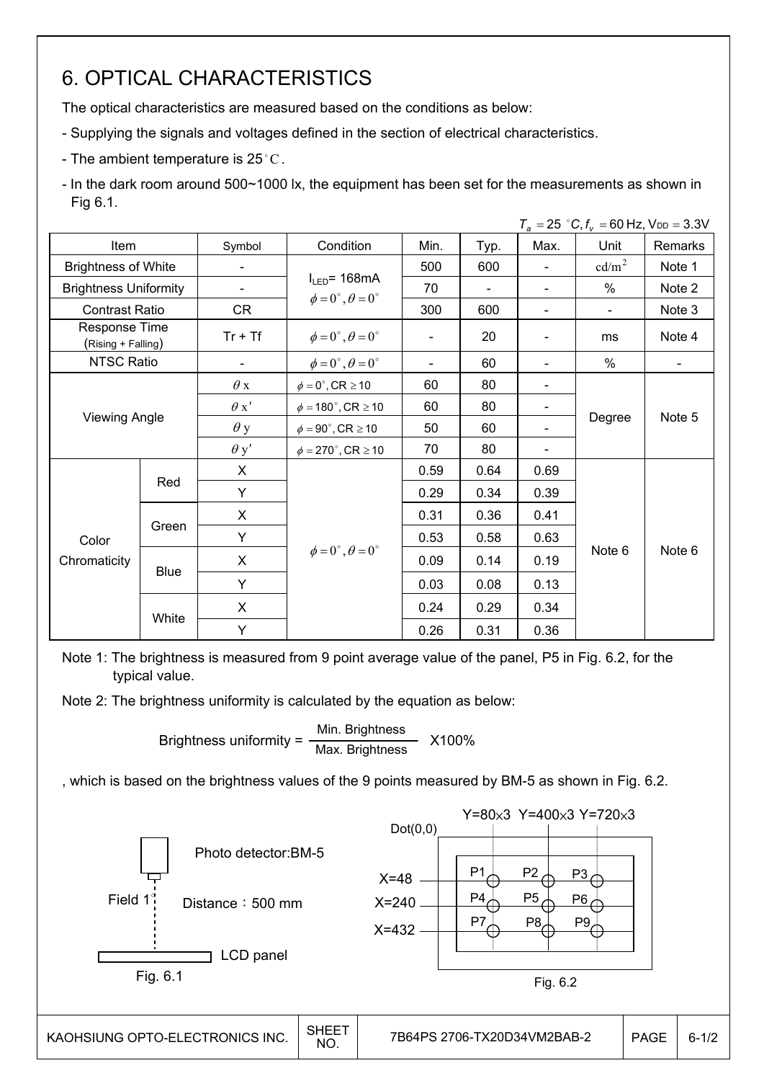## 6. OPTICAL CHARACTERISTICS

The optical characteristics are measured based on the conditions as below:

- Supplying the signals and voltages defined in the section of electrical characteristics.
- The ambient temperature is 25 $^{\circ}$ C.

- In the dark room around 500~1000 lx, the equipment has been set for the measurements as shown in Fig 6.1.

|                                     |             |             |                                        |      |                |                          | $T_a = 25$ °C, $f_v = 60$ Hz, $V_{DD} = 3.3$ V |         |
|-------------------------------------|-------------|-------------|----------------------------------------|------|----------------|--------------------------|------------------------------------------------|---------|
| Item                                |             | Symbol      | Condition                              | Min. | Typ.           | Max.                     | Unit                                           | Remarks |
| <b>Brightness of White</b>          |             |             |                                        | 500  | 600            | $\blacksquare$           | cd/m <sup>2</sup>                              | Note 1  |
| <b>Brightness Uniformity</b>        |             |             | $I_{LED}$ = 168mA                      | 70   | $\blacksquare$ | $\overline{\phantom{a}}$ | $\%$                                           | Note 2  |
| <b>Contrast Ratio</b>               |             | <b>CR</b>   | $\phi = 0^\circ$ , $\theta = 0^\circ$  | 300  | 600            | $\blacksquare$           | $\blacksquare$                                 | Note 3  |
| Response Time<br>(Rising + Falling) |             | $Tr + Tf$   | $\phi = 0^{\circ}, \theta = 0^{\circ}$ |      | 20             |                          | ms                                             | Note 4  |
| NTSC Ratio                          |             |             | $\phi = 0^\circ$ , $\theta = 0^\circ$  |      | 60             |                          | $\%$                                           |         |
|                                     |             | $\theta$ x  | $\phi = 0^\circ$ , CR $\geq 10$        | 60   | 80             |                          |                                                |         |
|                                     |             |             | $\phi = 180^\circ$ , CR $\geq 10$      | 60   | 80             |                          |                                                |         |
| <b>Viewing Angle</b>                |             | $\theta$ y  | $\phi = 90^{\circ}$ , CR $\geq 10$     | 50   | 60             |                          | Degree                                         | Note 5  |
|                                     |             | $\theta$ y' | $\phi = 270^\circ$ , CR $\geq 10$      | 70   | 80             |                          |                                                |         |
|                                     |             | X           |                                        | 0.59 | 0.64           | 0.69                     |                                                |         |
|                                     | Red         | Y           |                                        | 0.29 | 0.34           | 0.39                     |                                                |         |
|                                     |             | X           |                                        | 0.31 | 0.36           | 0.41                     |                                                |         |
| Color                               | Green       | Y           |                                        | 0.53 | 0.58           | 0.63                     |                                                |         |
| Chromaticity                        |             | X           | $\phi = 0^{\circ}, \theta = 0^{\circ}$ | 0.09 | 0.14           | 0.19                     | Note 6                                         | Note 6  |
|                                     | <b>Blue</b> | Y           |                                        | 0.03 | 0.08           | 0.13                     |                                                |         |
|                                     |             | X           |                                        | 0.24 | 0.29           | 0.34                     |                                                |         |
|                                     | White       | Y           |                                        | 0.26 | 0.31           | 0.36                     |                                                |         |

Note 1: The brightness is measured from 9 point average value of the panel, P5 in Fig. 6.2, for the typical value.

Note 2: The brightness uniformity is calculated by the equation as below:

Brightness uniformity = 
$$
\frac{\text{Min.}_{\text{Brightness}}}{\text{Max.}_{\text{Brightness}}}
$$
 X100%

, which is based on the brightness values of the 9 points measured by BM-5 as shown in Fig. 6.2.

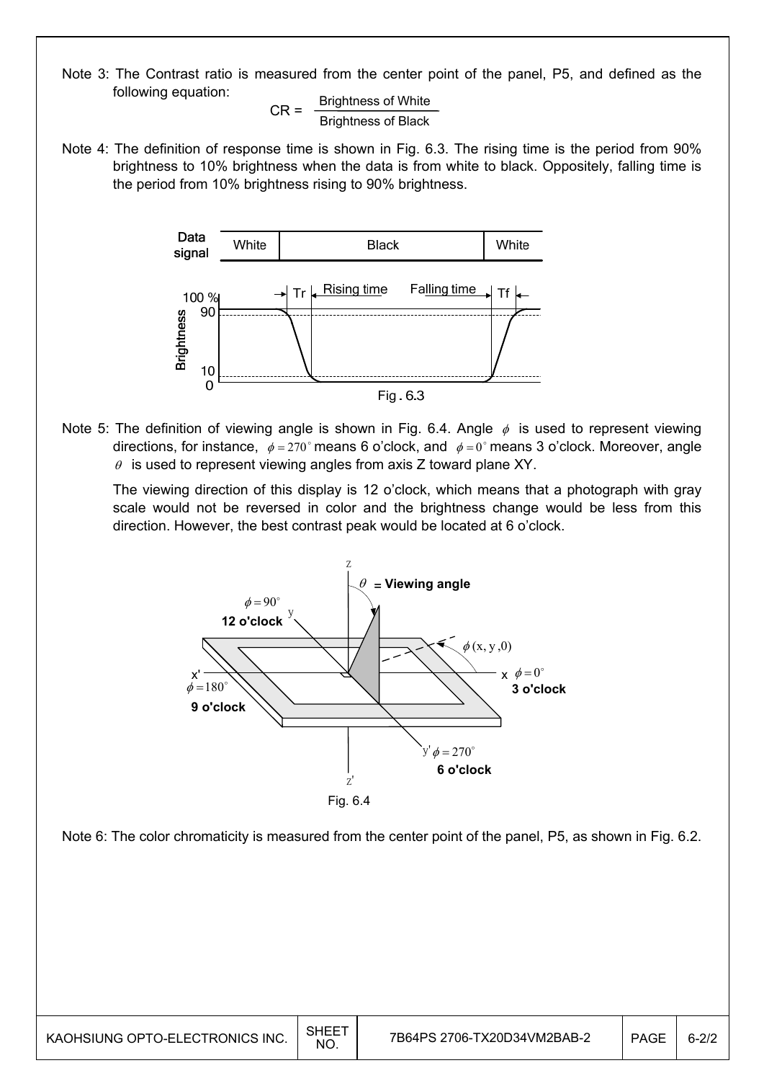Note 3: The Contrast ratio is measured from the center point of the panel, P5, and defined as the following equation:

 $CR =$  Brightness of White Brightness of Black

Note 4: The definition of response time is shown in Fig. 6.3. The rising time is the period from 90% brightness to 10% brightness when the data is from white to black. Oppositely, falling time is the period from 10% brightness rising to 90% brightness.



Note 5: The definition of viewing angle is shown in Fig. 6.4. Angle  $\phi$  is used to represent viewing directions, for instance,  $\phi = 270^\circ$  means 6 o'clock, and  $\phi = 0^\circ$  means 3 o'clock. Moreover, angle  $\theta$  is used to represent viewing angles from axis Z toward plane XY.

 The viewing direction of this display is 12 o'clock, which means that a photograph with gray scale would not be reversed in color and the brightness change would be less from this direction. However, the best contrast peak would be located at 6 o'clock.



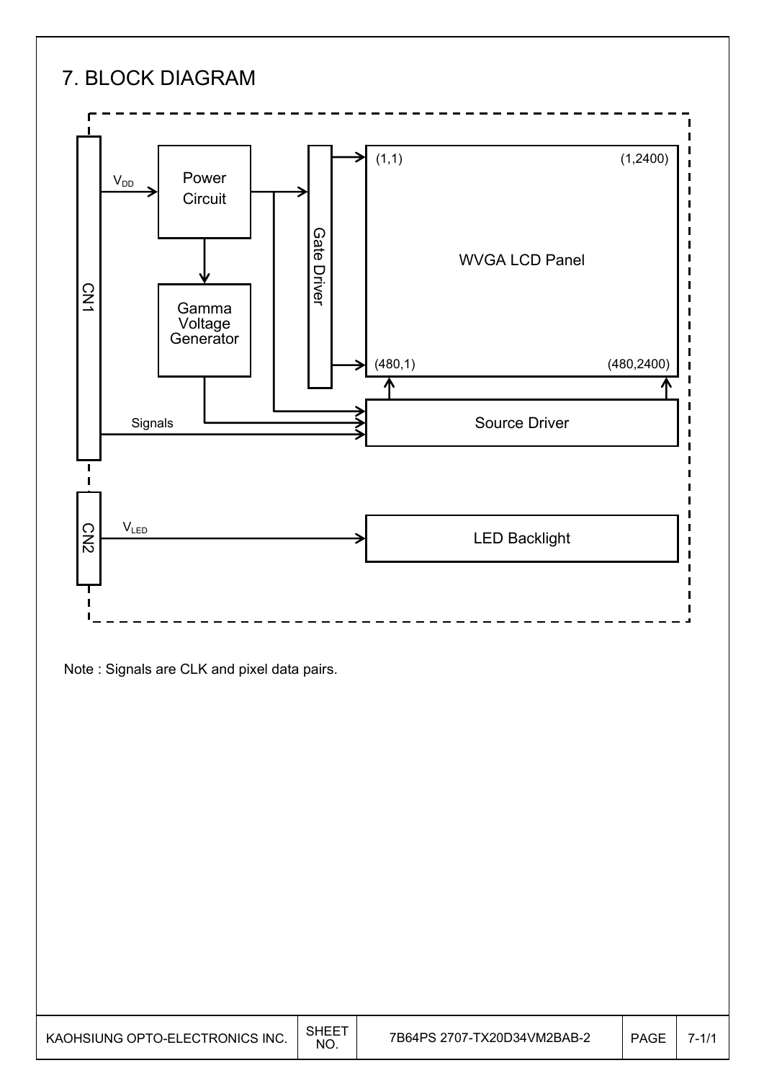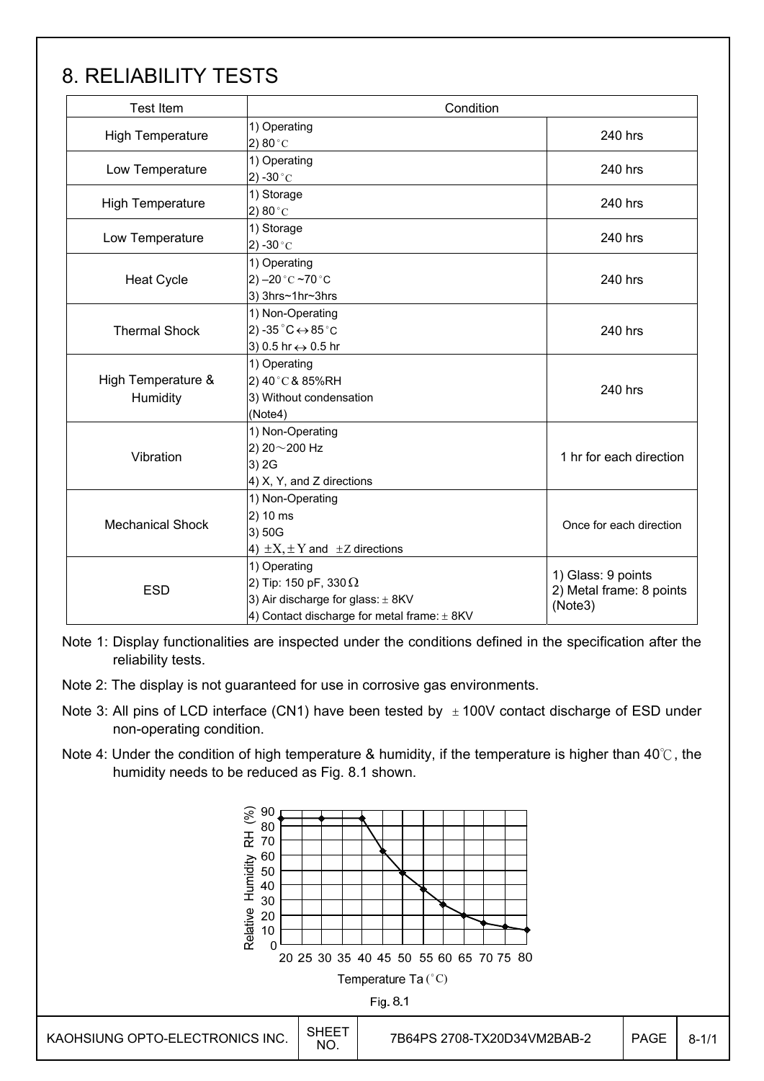## 8. RELIABILITY TESTS

| <b>Test Item</b>               | Condition                                                                                                                            |                                                           |  |
|--------------------------------|--------------------------------------------------------------------------------------------------------------------------------------|-----------------------------------------------------------|--|
| <b>High Temperature</b>        | 1) Operating<br>2) 80 $^{\circ}$ C                                                                                                   | 240 hrs                                                   |  |
| Low Temperature                | 1) Operating<br>2) -30 $^{\circ}$ C                                                                                                  | 240 hrs                                                   |  |
| <b>High Temperature</b>        | 1) Storage<br>2) 80 $^{\circ}$ C                                                                                                     | 240 hrs                                                   |  |
| Low Temperature                | 1) Storage<br>2) -30 $^{\circ}$ C                                                                                                    | 240 hrs                                                   |  |
| <b>Heat Cycle</b>              | 1) Operating<br>2) $-20$ °C $-70$ °C<br>3) 3hrs~1hr~3hrs                                                                             | 240 hrs                                                   |  |
| <b>Thermal Shock</b>           | 1) Non-Operating<br>2) -35 $^{\circ}$ C $\leftrightarrow$ 85 $^{\circ}$ C<br>3) 0.5 hr ↔ 0.5 hr                                      | 240 hrs                                                   |  |
| High Temperature &<br>Humidity | 1) Operating<br>2) 40°C & 85%RH<br>3) Without condensation<br>(Note4)                                                                | 240 hrs                                                   |  |
| Vibration                      | 1) Non-Operating<br>2) 20~200 Hz<br>3) 2G<br>4) X, Y, and Z directions                                                               | 1 hr for each direction                                   |  |
| <b>Mechanical Shock</b>        | 1) Non-Operating<br>2) 10 ms<br>3) 50G<br>4) $\pm X, \pm Y$ and $\pm Z$ directions                                                   | Once for each direction                                   |  |
| <b>ESD</b>                     | 1) Operating<br>2) Tip: 150 pF, 330 $\Omega$<br>3) Air discharge for glass: ± 8KV<br>4) Contact discharge for metal frame: $\pm$ 8KV | 1) Glass: 9 points<br>2) Metal frame: 8 points<br>(Note3) |  |

Note 1: Display functionalities are inspected under the conditions defined in the specification after the reliability tests.

- Note 2: The display is not guaranteed for use in corrosive gas environments.
- Note 3: All pins of LCD interface (CN1) have been tested by  $\pm$  100V contact discharge of ESD under non-operating condition.
- Note 4: Under the condition of high temperature & humidity, if the temperature is higher than 40 $\degree$ C, the humidity needs to be reduced as Fig. 8.1 shown.

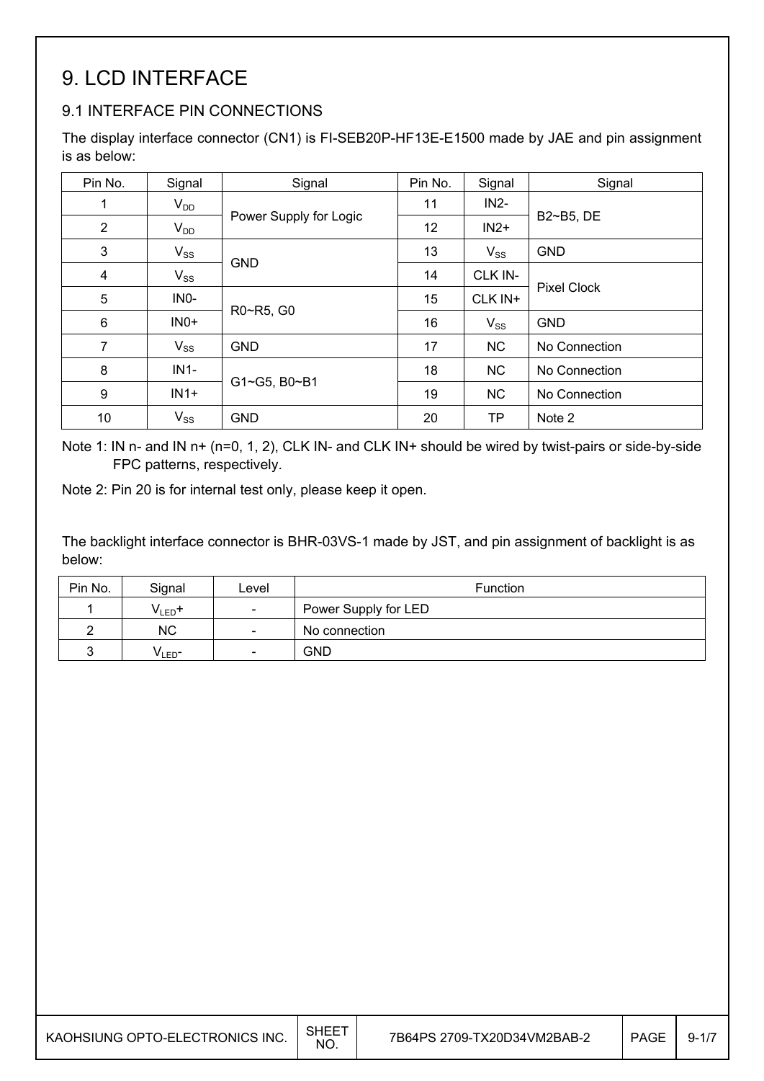## 9. LCD INTERFACE

### 9.1 INTERFACE PIN CONNECTIONS

The display interface connector (CN1) is FI-SEB20P-HF13E-E1500 made by JAE and pin assignment is as below:

| Pin No.        | Signal            | Signal                 | Pin No. | Signal    | Signal             |
|----------------|-------------------|------------------------|---------|-----------|--------------------|
| 1              | $V_{DD}$          |                        | 11      | $IN2-$    |                    |
| $\overline{2}$ | $V_{DD}$          | Power Supply for Logic | 12      | $IN2+$    | B2~B5, DE          |
| 3              | $V_{SS}$          |                        | 13      | $V_{SS}$  | <b>GND</b>         |
| $\overline{4}$ | $V_{SS}$          | <b>GND</b>             | 14      | CLK IN-   |                    |
| 5              | IN <sub>0</sub> - |                        | 15      | CLK IN+   | <b>Pixel Clock</b> |
| 6              | $INO+$            | R0~R5, G0              | 16      | $V_{SS}$  | <b>GND</b>         |
| $\overline{7}$ | $V_{SS}$          | <b>GND</b>             | 17      | <b>NC</b> | No Connection      |
| 8              | $IN1-$            |                        | 18      | <b>NC</b> | No Connection      |
| 9              | $IN1+$            | G1~G5, B0~B1           | 19      | <b>NC</b> | No Connection      |
| 10             | $V_{SS}$          | <b>GND</b>             | 20      | <b>TP</b> | Note 2             |

Note 1: IN n- and IN n+ (n=0, 1, 2), CLK IN- and CLK IN+ should be wired by twist-pairs or side-by-side FPC patterns, respectively.

Note 2: Pin 20 is for internal test only, please keep it open.

The backlight interface connector is BHR-03VS-1 made by JST, and pin assignment of backlight is as below:

| Pin No. | Signal             | Level                    | Function             |
|---------|--------------------|--------------------------|----------------------|
|         | $V_{LED}$ +        | $\overline{\phantom{a}}$ | Power Supply for LED |
|         | <b>NC</b>          | $\overline{\phantom{a}}$ | No connection        |
|         | V <sub>LED</sub> - | $\overline{\phantom{a}}$ | GND                  |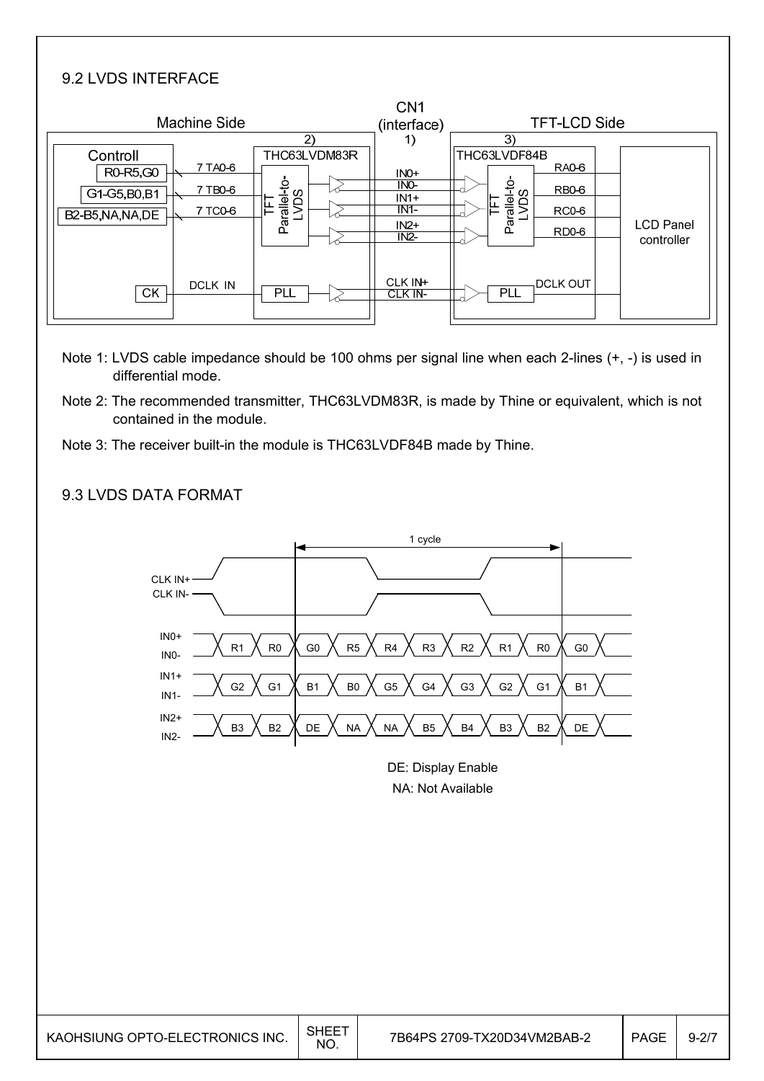#### 9.2 LVDS INTERFACE

| Machine Side                                                                                |                                                           | CN <sub>1</sub><br>(interface)                         | <b>TFT-LCD Side</b>                                                                                                            |
|---------------------------------------------------------------------------------------------|-----------------------------------------------------------|--------------------------------------------------------|--------------------------------------------------------------------------------------------------------------------------------|
| Controll<br>7 TA0-6<br>R0-R5,G0<br>7 TB0-6<br>G1-G5, B0, B1<br>7 TC0-6<br>B2-B5, NA, NA, DE | $\mathbf{2}$<br>THC63LVDM83R<br>Parallel-to-<br>LVDS<br>匡 | 1)<br>$INO+$<br>INO-<br>$IN1+$<br>IN1<br>$IN2+$<br>IN2 | 3)<br>THC63LVDF84B<br><b>RA0-6</b><br>Parallel-to-<br>LVDS<br><b>RB0-6</b><br>RC0-6<br><b>LCD Panel</b><br>RD0-6<br>controller |
| DCLK IN<br><b>CK</b>                                                                        | <b>PLL</b>                                                | CLK IN+<br>CLK IN-                                     | <b>DCLK OUT</b><br><b>PLL</b>                                                                                                  |

- Note 1: LVDS cable impedance should be 100 ohms per signal line when each 2-lines (+, -) is used in differential mode.
- Note 2: The recommended transmitter, THC63LVDM83R, is made by Thine or equivalent, which is not contained in the module.
- Note 3: The receiver built-in the module is THC63LVDF84B made by Thine.

#### 9.3 LVDS DATA FORMAT



DE: Display Enable NA: Not Available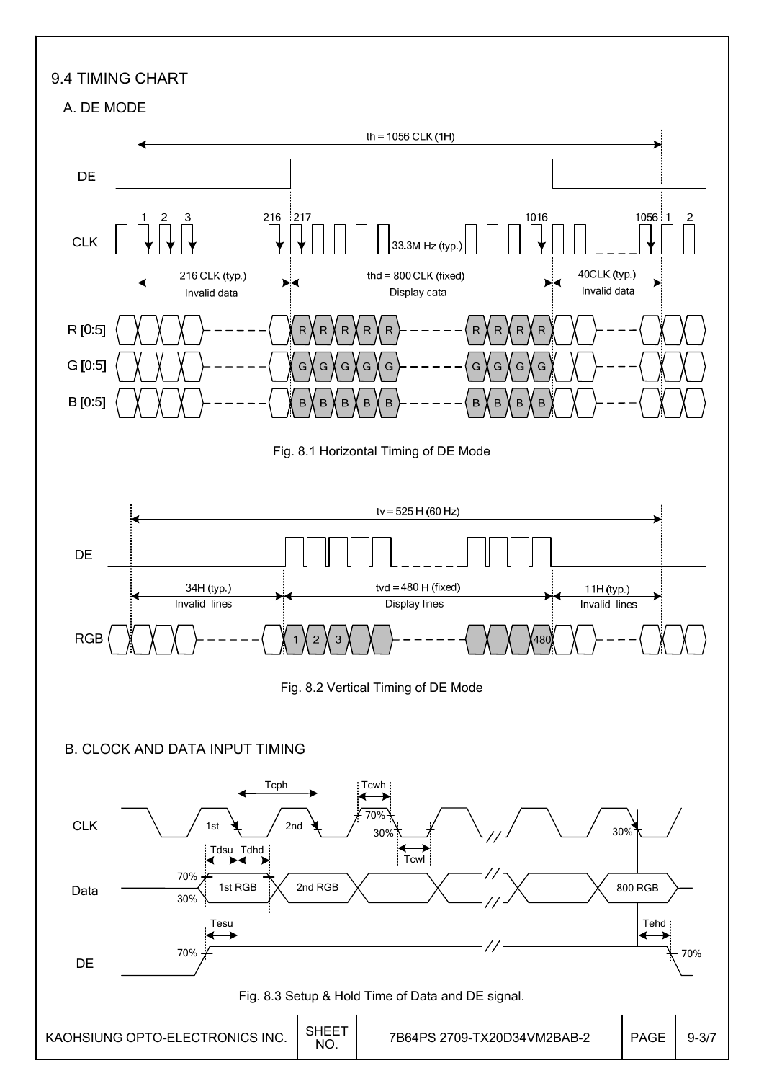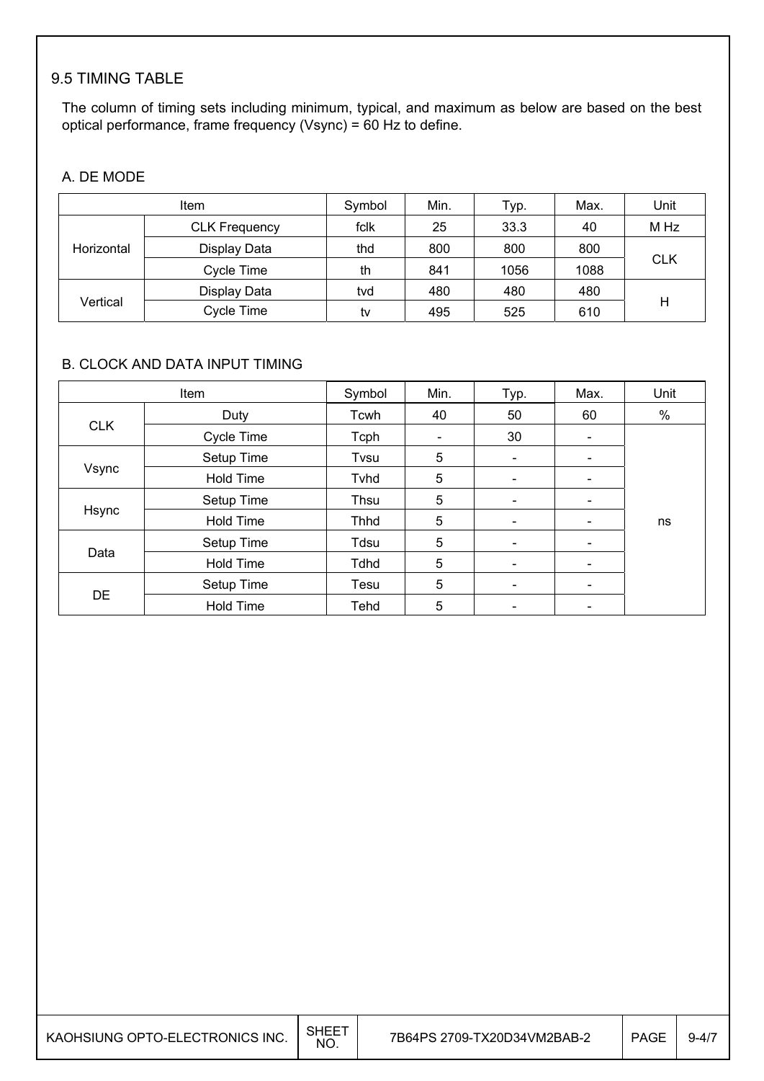### 9.5 TIMING TABLE

The column of timing sets including minimum, typical, and maximum as below are based on the best optical performance, frame frequency (Vsync) = 60 Hz to define.

#### A. DE MODE

|            | Item                 | Symbol | Min. | Typ. | Max. | Unit       |
|------------|----------------------|--------|------|------|------|------------|
|            | <b>CLK Frequency</b> | fclk   | 25   | 33.3 | 40   | M Hz       |
| Horizontal | Display Data         | thd    | 800  | 800  | 800  |            |
|            | Cycle Time           | th     | 841  | 1056 | 1088 | <b>CLK</b> |
|            | Display Data         | tvd    | 480  | 480  | 480  |            |
| Vertical   | Cycle Time           | tv     | 495  | 525  | 610  | Н          |

#### B. CLOCK AND DATA INPUT TIMING

| Item       |                  | Symbol      | Min. | Typ.                         | Max.                     | Unit |
|------------|------------------|-------------|------|------------------------------|--------------------------|------|
|            | Duty             | Tcwh        | 40   | 50                           | 60                       | %    |
| <b>CLK</b> | Cycle Time       | Tcph        |      | 30                           | -                        |      |
|            | Setup Time       | Tvsu        | 5    | $\overline{\phantom{a}}$     | -                        |      |
| Vsync      | <b>Hold Time</b> | Tvhd        | 5    | $\overline{\phantom{a}}$     | $\overline{\phantom{a}}$ |      |
|            | Setup Time       | Thsu        | 5    | $\overline{\phantom{a}}$     | -                        |      |
| Hsync      | <b>Hold Time</b> | Thhd        | 5    | $\qquad \qquad \blacksquare$ |                          | ns   |
|            | Setup Time       | Tdsu        | 5    | $\overline{\phantom{a}}$     | $\overline{\phantom{0}}$ |      |
| Data       | <b>Hold Time</b> | <b>Tdhd</b> | 5    | $\overline{\phantom{a}}$     | -                        |      |
|            | Setup Time       | Tesu        | 5    | $\qquad \qquad \blacksquare$ | $\overline{\phantom{0}}$ |      |
| <b>DE</b>  | <b>Hold Time</b> | Tehd        | 5    | $\overline{\phantom{a}}$     | $\overline{\phantom{a}}$ |      |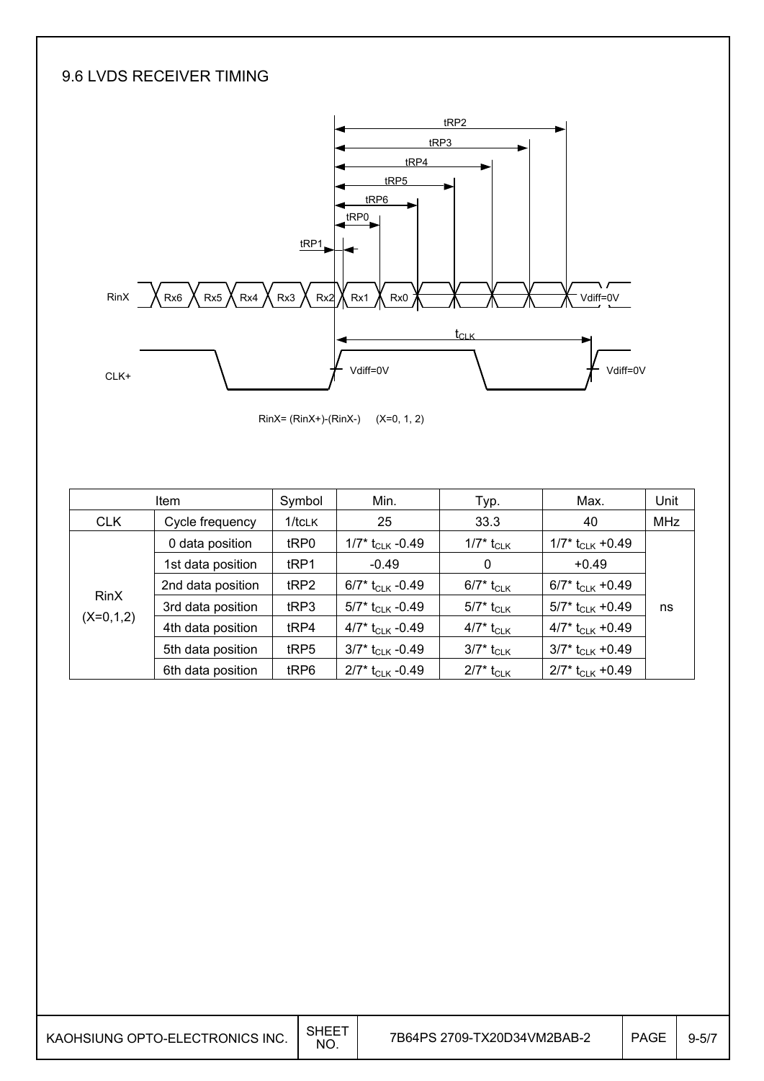### 9.6 LVDS RECEIVER TIMING



RinX= (RinX+)-(RinX-) (X=0, 1, 2)

| <b>Item</b> |                   | Symbol           | Min.                           | Typ.                     | Max.                           | Unit       |
|-------------|-------------------|------------------|--------------------------------|--------------------------|--------------------------------|------------|
| <b>CLK</b>  | Cycle frequency   | $1/t$ CLK        | 25                             | 33.3                     | 40                             | <b>MHz</b> |
|             | 0 data position   | tRP0             | 1/7* $t_{CLK}$ -0.49           | 1/7* t <sub>CLK</sub>    | $1/7$ * t <sub>CLK</sub> +0.49 |            |
|             | 1st data position | tRP1             | $-0.49$                        | $\mathbf{0}$             | $+0.49$                        |            |
|             | 2nd data position | tRP2             | 6/7* $t_{C1K}$ -0.49           | 6/7* t <sub>CLK</sub>    | 6/7* $t_{CLK}$ +0.49           |            |
| <b>RinX</b> | 3rd data position | t <sub>RP3</sub> | 5/7* $t_{CLK}$ -0.49           | 5/7* t <sub>CLK</sub>    | 5/7* $t_{CLK}$ +0.49           | ns         |
| $(X=0,1,2)$ | 4th data position | tRP4             | 4/7* $t_{CLK}$ -0.49           | 4/7* t <sub>CLK</sub>    | 4/7* $t_{CLK}$ +0.49           |            |
|             | 5th data position | tRP5             | $3/7$ * t <sub>CLK</sub> -0.49 | 3/7* t <sub>CLK</sub>    | $3/7$ * t <sub>CLK</sub> +0.49 |            |
|             | 6th data position | tRP6             | $2/7$ * t <sub>CLK</sub> -0.49 | $2/7^*$ t <sub>CLK</sub> | $2/7$ * t <sub>CLK</sub> +0.49 |            |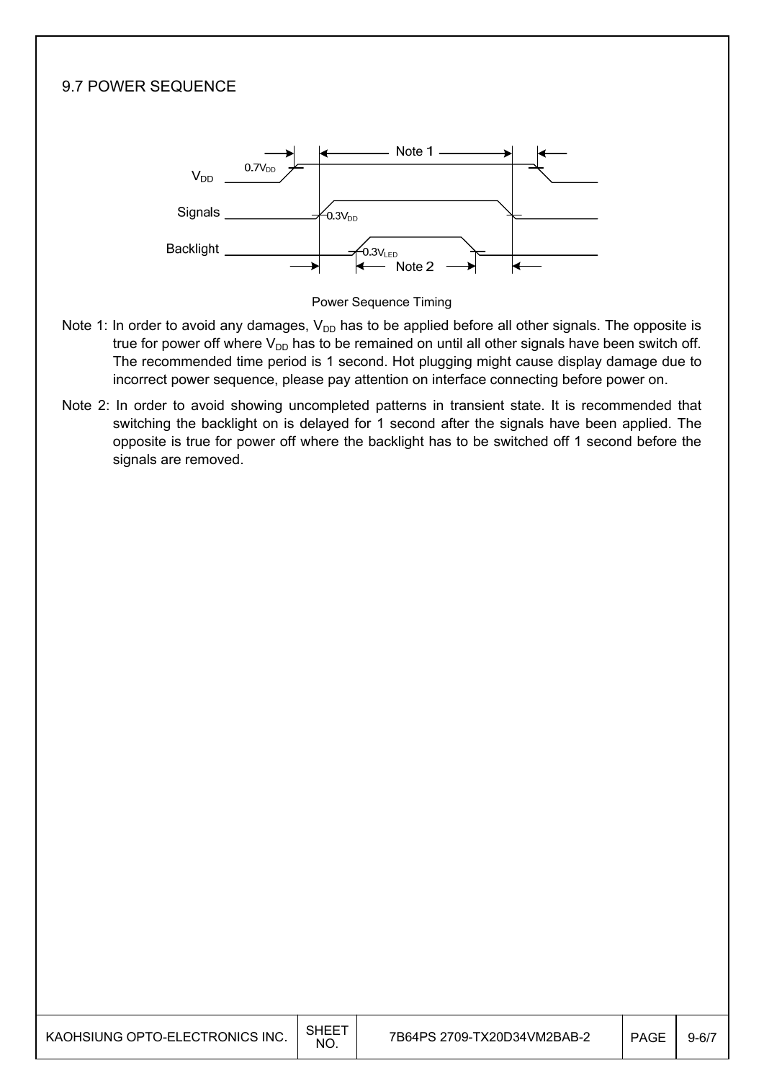## 9.7 POWER SEQUENCE Note 1  $0.7V_{\text{DE}}$  $V_{DD}$ Signals  $5.3V_{DD}$ **Backlight** -<br>0.3V<sub>LED</sub> Note 2



- Note 1: In order to avoid any damages,  $V_{DD}$  has to be applied before all other signals. The opposite is true for power off where  $V_{DD}$  has to be remained on until all other signals have been switch off. The recommended time period is 1 second. Hot plugging might cause display damage due to incorrect power sequence, please pay attention on interface connecting before power on.
- Note 2: In order to avoid showing uncompleted patterns in transient state. It is recommended that switching the backlight on is delayed for 1 second after the signals have been applied. The opposite is true for power off where the backlight has to be switched off 1 second before the signals are removed.

| KAOHSIUNG OPTO-ELECTRONICS INC. | <b>SHEET</b><br>NO. | 7B64PS 2709-TX20D34VM2BAB-2 | <b>PAGE</b> | $9 - 6/7$ |
|---------------------------------|---------------------|-----------------------------|-------------|-----------|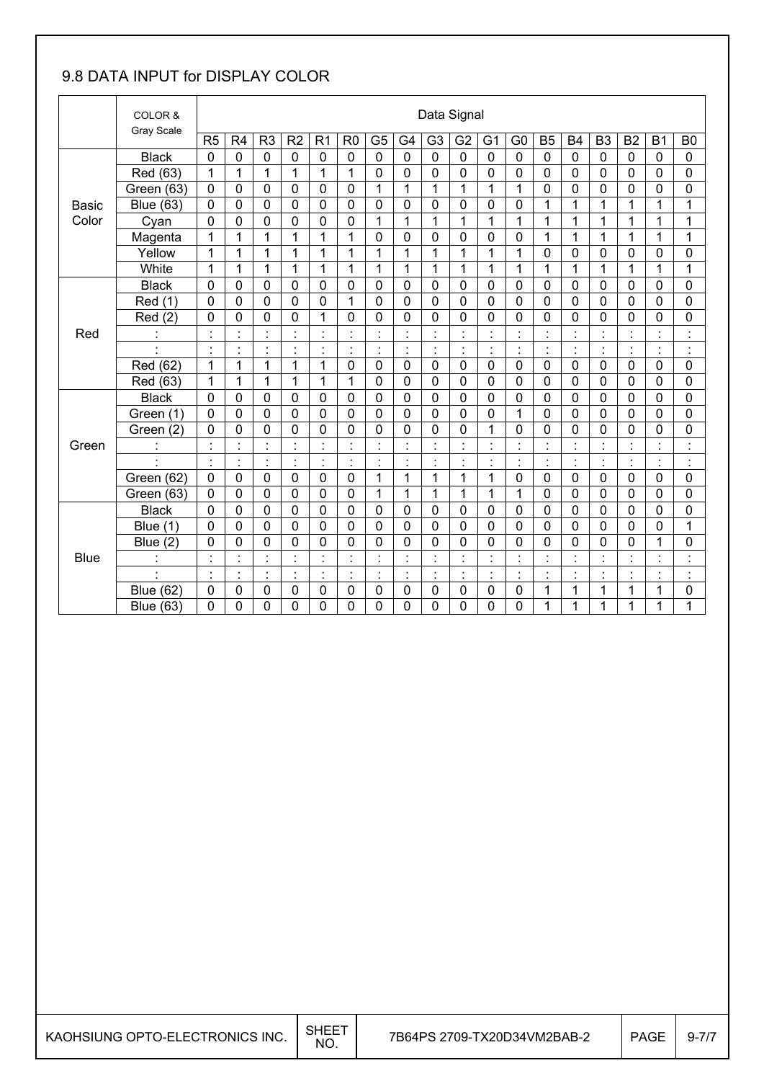### 9.8 DATA INPUT for DISPLAY COLOR

|              | COLOR &          |                | Data Signal    |                      |                |                           |                      |                |                |                |                |                      |                                  |                                        |                |                |                |                     |                      |
|--------------|------------------|----------------|----------------|----------------------|----------------|---------------------------|----------------------|----------------|----------------|----------------|----------------|----------------------|----------------------------------|----------------------------------------|----------------|----------------|----------------|---------------------|----------------------|
|              | Gray Scale       | R <sub>5</sub> | R <sub>4</sub> | R <sub>3</sub>       | R <sub>2</sub> | R <sub>1</sub>            | R <sub>0</sub>       | G <sub>5</sub> | G <sub>4</sub> | G <sub>3</sub> | G <sub>2</sub> | G <sub>1</sub>       | G <sub>0</sub>                   | <b>B5</b>                              | <b>B4</b>      | B <sub>3</sub> | <b>B2</b>      | <b>B1</b>           | B <sub>0</sub>       |
|              | <b>Black</b>     | $\mathbf 0$    | 0              | $\mathbf 0$          | $\mathbf 0$    | $\mathbf 0$               | $\mathbf 0$          | $\mathbf 0$    | $\overline{0}$ | $\mathbf 0$    | $\mathbf 0$    | 0                    | $\mathbf 0$                      | $\mathbf 0$                            | $\mathbf 0$    | $\Omega$       | $\mathbf 0$    | $\mathbf 0$         | $\mathbf 0$          |
|              | Red (63)         | 1              | 1              | 1                    | 1              | 1                         | 1                    | 0              | $\mathbf 0$    | 0              | 0              | 0                    | 0                                | $\mathbf 0$                            | $\mathbf 0$    | $\mathbf 0$    | 0              | 0                   | 0                    |
|              | Green (63)       | $\mathbf 0$    | $\mathbf 0$    | $\mathbf 0$          | $\mathbf 0$    | $\mathbf 0$               | $\mathbf 0$          | $\mathbf{1}$   | $\mathbf{1}$   | 1              | 1              | 1                    | $\mathbf{1}$                     | $\mathbf 0$                            | 0              | $\mathbf 0$    | $\mathbf 0$    | 0                   | 0                    |
| <b>Basic</b> | <b>Blue (63)</b> | $\mathbf 0$    | $\mathbf 0$    | $\mathbf 0$          | $\mathbf 0$    | $\mathbf 0$               | $\mathbf 0$          | $\mathbf 0$    | $\mathbf 0$    | $\overline{0}$ | 0              | 0                    | 0                                | 1                                      | 1              | 1              | $\mathbf 1$    | 1                   | $\mathbf{1}$         |
| Color        | Cyan             | 0              | 0              | 0                    | $\mathbf 0$    | 0                         | 0                    | 1              | 1              | 1              | 1              | 1                    | 1                                | 1                                      | 1              | 1              | 1              | 1                   | 1                    |
|              | Magenta          | 1              | 1              | $\mathbf{1}$         | 1              | 1                         | 1                    | $\mathbf 0$    | $\mathbf 0$    | $\mathbf 0$    | 0              | 0                    | $\mathbf 0$                      | 1                                      | 1              | 1              | $\overline{1}$ | 1                   | 1                    |
|              | Yellow           | 1              | 1              | 1                    | 1              | 1                         | 1                    | 1              | $\mathbf{1}$   | 1              | 1              | 1                    | 1                                | $\mathbf 0$                            | 0              | $\mathbf 0$    | $\mathbf 0$    | 0                   | 0                    |
|              | White            | 1              | 1              | 1                    | 1              | 1                         | 1                    | 1              | 1              | 1              | 1              | 1                    | 1                                | 1                                      | 1              | 1              | $\mathbf{1}$   | 1                   | 1                    |
|              | <b>Black</b>     | $\mathbf 0$    | 0              | $\mathbf 0$          | 0              | $\mathbf 0$               | $\mathbf 0$          | $\mathbf 0$    | $\mathbf 0$    | 0              | 0              | 0                    | $\mathbf 0$                      | $\mathbf 0$                            | $\mathbf 0$    | $\mathbf 0$    | $\mathbf 0$    | 0                   | 0                    |
|              | Red (1)          | $\mathbf 0$    | 0              | $\mathbf 0$          | $\mathbf 0$    | 0                         | 1                    | $\mathbf 0$    | $\overline{0}$ | 0              | $\overline{0}$ | $\overline{0}$       | $\overline{0}$                   | $\mathbf 0$                            | $\overline{0}$ | $\mathbf 0$    | $\overline{0}$ | $\overline{0}$      | 0                    |
|              | Red (2)          | $\mathbf 0$    | 0              | $\mathbf 0$          | $\mathbf 0$    | $\mathbf{1}$              | $\mathbf 0$          | $\mathbf 0$    | $\mathbf 0$    | 0              | $\mathbf 0$    | $\mathbf 0$          | 0                                | $\mathbf 0$                            | $\overline{0}$ | $\mathbf 0$    | $\mathbf 0$    | 0                   | 0                    |
| Red          | $\ddot{\cdot}$   | $\cdot$        |                | $\blacksquare$<br>÷, |                | $\cdot$                   |                      | $\blacksquare$ | $\blacksquare$ |                | $\cdot$        |                      | $\blacksquare$<br>Ĭ.             | $\cdot$<br>Ĭ.                          |                |                |                |                     | $\cdot$<br>$\bullet$ |
|              |                  | $\cdot$        |                | $\blacksquare$<br>٠  | $\cdot$        | $\cdot$<br>٠              |                      | $\cdot$        | $\cdot$        | l,             | $\blacksquare$ | $\blacksquare$       | $\blacksquare$<br>$\blacksquare$ | $\blacksquare$<br>$\ddot{\phantom{a}}$ |                |                | $\blacksquare$ | $\cdot$             | $\cdot$<br>٠         |
|              | Red (62)         | 1              | 1              | $\mathbf{1}$         | 1              | $\mathbf{1}$              | $\mathbf 0$          | $\mathbf 0$    | $\mathbf 0$    | $\mathbf 0$    | 0              | $\mathbf 0$          | $\mathbf 0$                      | $\mathbf 0$                            | $\overline{0}$ | $\mathbf 0$    | $\mathbf 0$    | $\overline{0}$      | 0                    |
|              | Red (63)         | $\mathbf 1$    | 1              | 1                    | 1              | $\mathbf{1}$              | 1                    | $\mathbf 0$    | $\mathbf 0$    | $\mathbf 0$    | $\mathbf 0$    | 0                    | $\mathbf 0$                      | $\mathbf 0$                            | $\mathbf 0$    | $\mathbf 0$    | $\mathbf 0$    | 0                   | 0                    |
|              | <b>Black</b>     | 0              | 0              | $\mathbf 0$          | $\mathbf 0$    | 0                         | $\mathbf 0$          | $\mathbf 0$    | $\mathbf 0$    | 0              | 0              | 0                    | $\mathbf 0$                      | $\mathbf 0$                            | $\mathbf 0$    | $\mathbf 0$    | $\mathbf 0$    | 0                   | 0                    |
|              | Green (1)        | $\mathbf 0$    | $\mathbf 0$    | $\mathbf 0$          | $\mathbf 0$    | $\mathbf 0$               | $\mathbf 0$          | $\mathbf 0$    | $\mathbf 0$    | $\mathbf 0$    | $\mathbf 0$    | 0                    | $\mathbf 1$                      | $\mathbf 0$                            | $\mathbf 0$    | $\mathbf 0$    | $\mathbf 0$    | 0                   | 0                    |
|              | Green (2)        | $\mathbf 0$    | 0              | $\mathbf 0$          | $\mathbf 0$    | $\mathbf 0$               | $\mathbf 0$          | $\mathbf 0$    | 0              | $\overline{0}$ | 0              | 1                    | 0                                | $\mathbf 0$                            | 0              | $\mathbf 0$    | $\mathbf 0$    | $\overline{0}$      | 0                    |
| Green        | $\ddot{\cdot}$   | $\cdot$<br>×,  | İ.             | $\ddot{\phantom{a}}$ | $\cdot$<br>×,  | $\ddot{\cdot}$            |                      | $\ddot{\cdot}$ | $\ddot{\cdot}$ | $\blacksquare$ | $\cdot$        | $\ddot{\phantom{0}}$ | $\ddot{\phantom{a}}$             | $\ddot{\cdot}$                         |                |                | ÷              | $\blacksquare$<br>٠ | $\ddot{\cdot}$       |
|              | $\cdot$          | $\cdot$        | $\blacksquare$ | $\blacksquare$       | $\blacksquare$ | $\blacksquare$<br>$\cdot$ | $\blacksquare$       | $\blacksquare$ | $\blacksquare$ | $\cdot$        | $\cdot$        | $\blacksquare$       | $\blacksquare$<br>$\blacksquare$ | $\blacksquare$                         | $\blacksquare$ | $\blacksquare$ | $\blacksquare$ | $\blacksquare$      | $\cdot$<br>٠         |
|              | Green (62)       | $\overline{0}$ | 0              | $\overline{0}$       | $\mathbf 0$    | $\mathbf 0$               | $\mathbf 0$          | $\mathbf 1$    | $\mathbf{1}$   | 1              | $\overline{1}$ | 1                    | 0                                | $\mathbf 0$                            | $\mathbf 0$    | $\mathbf 0$    | $\overline{0}$ | $\overline{0}$      | 0                    |
|              | Green (63)       | 0              | 0              | 0                    | $\mathbf 0$    | 0                         | 0                    | 1              | 1              | 1              | 1              | 1                    | 1                                | 0                                      | 0              | $\mathbf 0$    | 0              | 0                   | 0                    |
|              | <b>Black</b>     | $\mathbf 0$    | $\mathbf 0$    | $\mathbf 0$          | $\mathbf 0$    | $\mathbf 0$               | $\mathbf 0$          | $\mathbf 0$    | $\mathbf 0$    | 0              | 0              | $\mathbf 0$          | $\mathbf 0$                      | $\mathbf 0$                            | $\mathbf 0$    | $\mathbf 0$    | $\mathbf 0$    | 0                   | 0                    |
|              | Blue (1)         | $\mathbf 0$    | 0              | $\overline{0}$       | $\mathbf 0$    | 0                         | $\mathbf 0$          | $\mathbf 0$    | $\mathbf 0$    | 0              | $\overline{0}$ | 0                    | 0                                | $\overline{0}$                         | $\overline{0}$ | $\overline{0}$ | $\mathbf 0$    | $\overline{0}$      | $\mathbf{1}$         |
|              | Blue $(2)$       | 0              | 0              | $\mathbf 0$          | 0              | 0                         | $\mathbf 0$          | 0              | 0              | 0              | 0              | 0                    | 0                                | $\mathbf{0}$                           | 0              | $\mathbf 0$    | 0              | 1                   | 0                    |
| <b>Blue</b>  | $\cdot$          | $\cdot$        | $\blacksquare$ | $\blacksquare$       | $\cdot$        | $\blacksquare$            | $\ddot{\phantom{a}}$ | ŀ,             | $\blacksquare$ | $\blacksquare$ | $\cdot$        | $\ddot{\phantom{0}}$ | $\blacksquare$                   | $\blacksquare$                         | $\blacksquare$ | $\blacksquare$ | $\blacksquare$ | $\blacksquare$      | $\blacksquare$<br>٠  |
|              | $\cdot$          | $\cdot$        | $\cdot$        | $\blacksquare$       | $\blacksquare$ | $\blacksquare$<br>$\cdot$ | $\blacksquare$       | $\blacksquare$ | $\blacksquare$ | $\blacksquare$ | $\cdot$        | $\blacksquare$       | $\blacksquare$                   | $\blacksquare$                         | $\cdot$        | $\blacksquare$ | $\blacksquare$ | $\cdot$             | $\cdot$              |
|              | <b>Blue (62)</b> | $\mathbf 0$    | $\mathbf 0$    | $\mathbf 0$          | $\mathbf 0$    | 0                         | $\mathbf 0$          | $\mathbf 0$    | $\mathbf 0$    | 0              | $\mathbf 0$    | 0                    | $\mathbf 0$                      | 1                                      | 1              | 1              | 1              | 1                   | 0                    |
|              | <b>Blue (63)</b> | 0              | 0              | 0                    | 0              | 0                         | 0                    | 0              | 0              | 0              | 0              | 0                    | 0                                | 1                                      | 1              | 1              | 1              | 1                   | 1                    |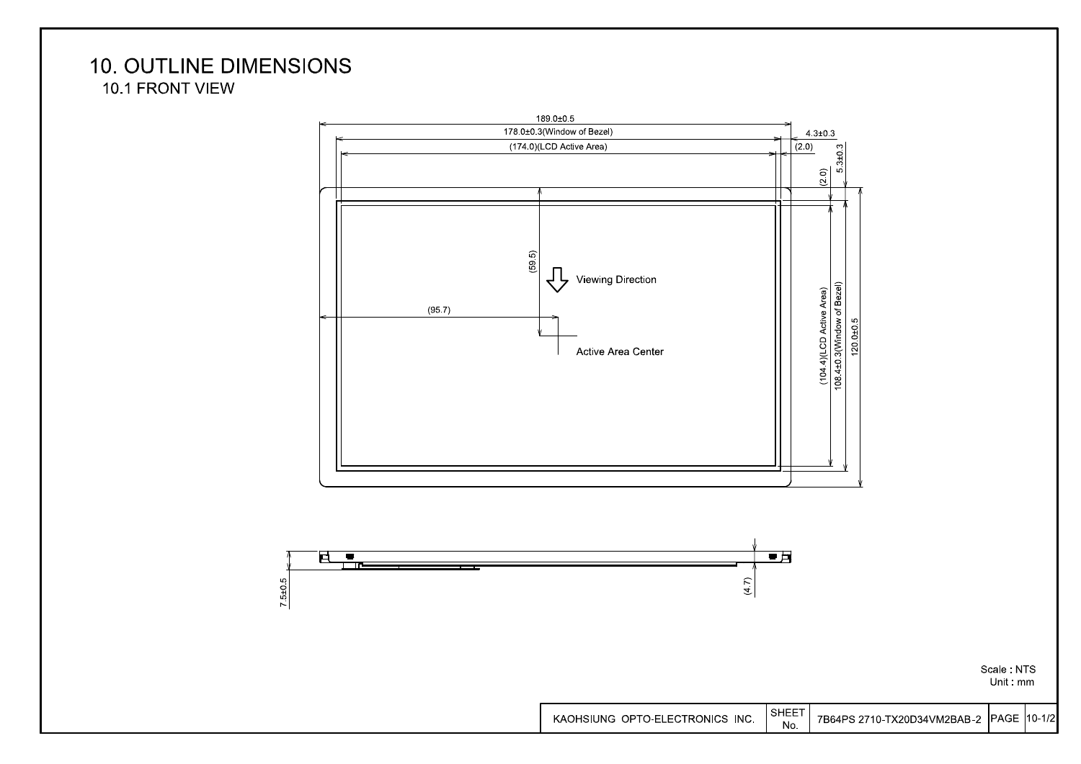### **10. OUTLINE DIMENSIONS** 10.1 FRONT VIEW





Scale: NTS Unit mm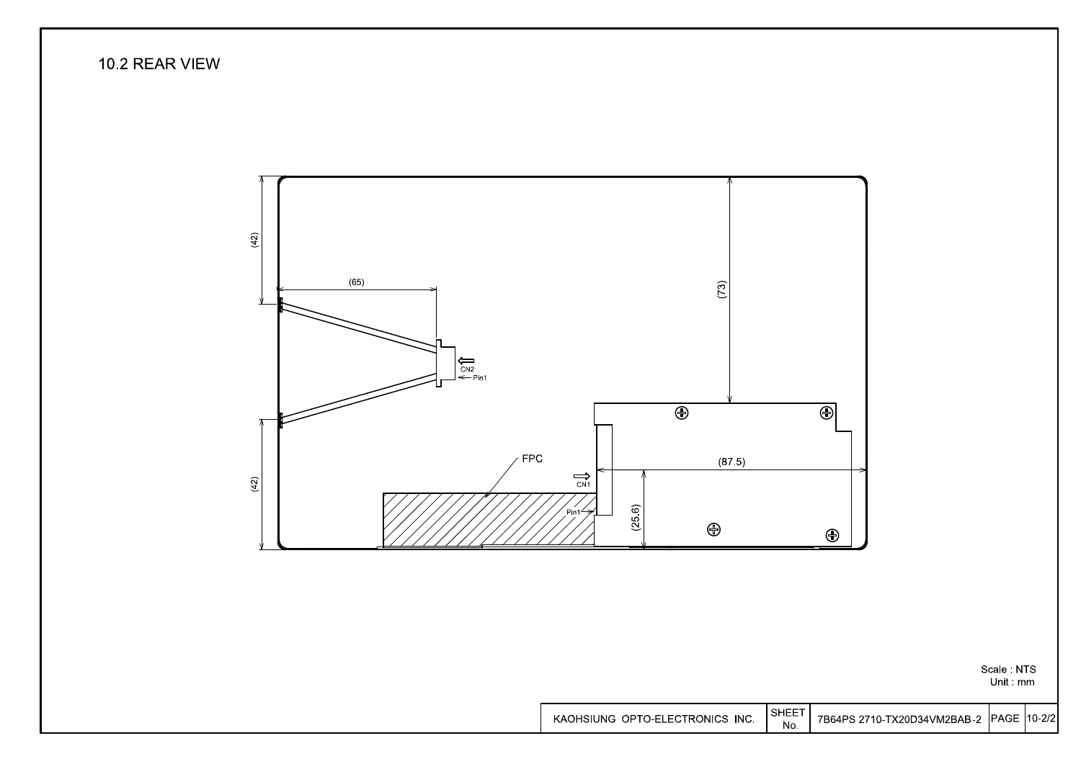### 10.2 REAR VIEW



Scale: NTS Unit mm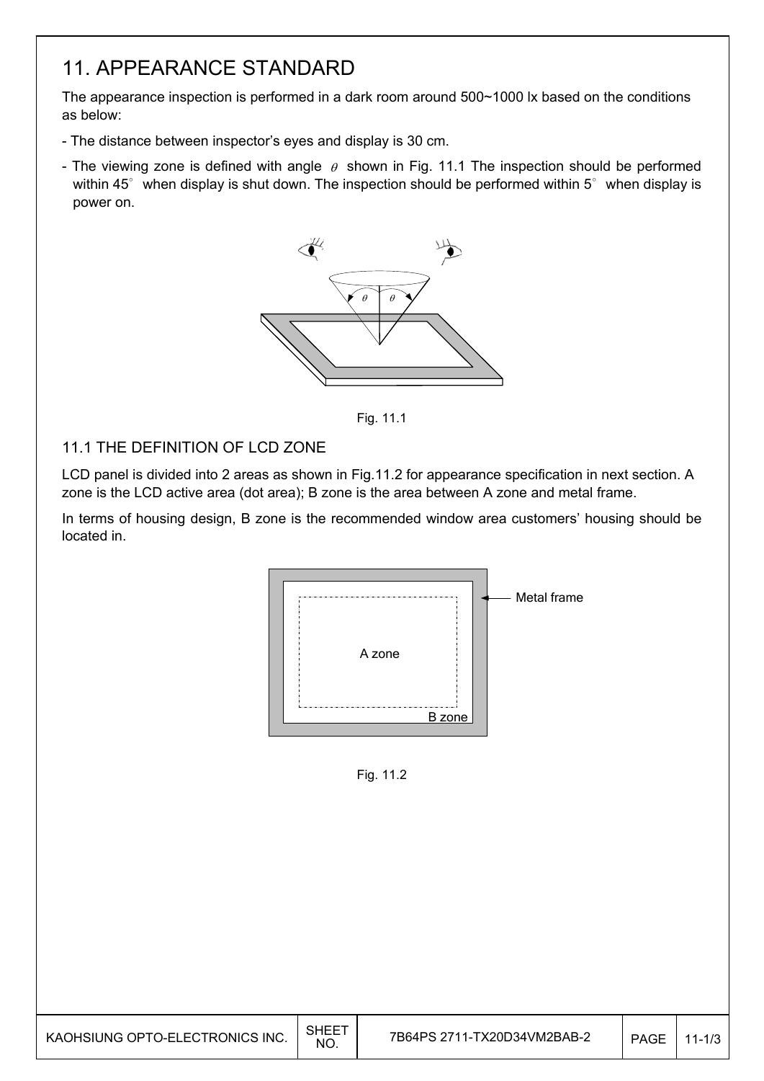## 11. APPEARANCE STANDARD

The appearance inspection is performed in a dark room around 500~1000 lx based on the conditions as below:

- The distance between inspector's eyes and display is 30 cm.
- The viewing zone is defined with angle  $\theta$  shown in Fig. 11.1 The inspection should be performed within 45 $^{\circ}$  when display is shut down. The inspection should be performed within 5 $^{\circ}$  when display is power on.



Fig. 11.1

#### 11.1 THE DEFINITION OF LCD ZONE

LCD panel is divided into 2 areas as shown in Fig.11.2 for appearance specification in next section. A zone is the LCD active area (dot area); B zone is the area between A zone and metal frame.

In terms of housing design, B zone is the recommended window area customers' housing should be located in.



Fig. 11.2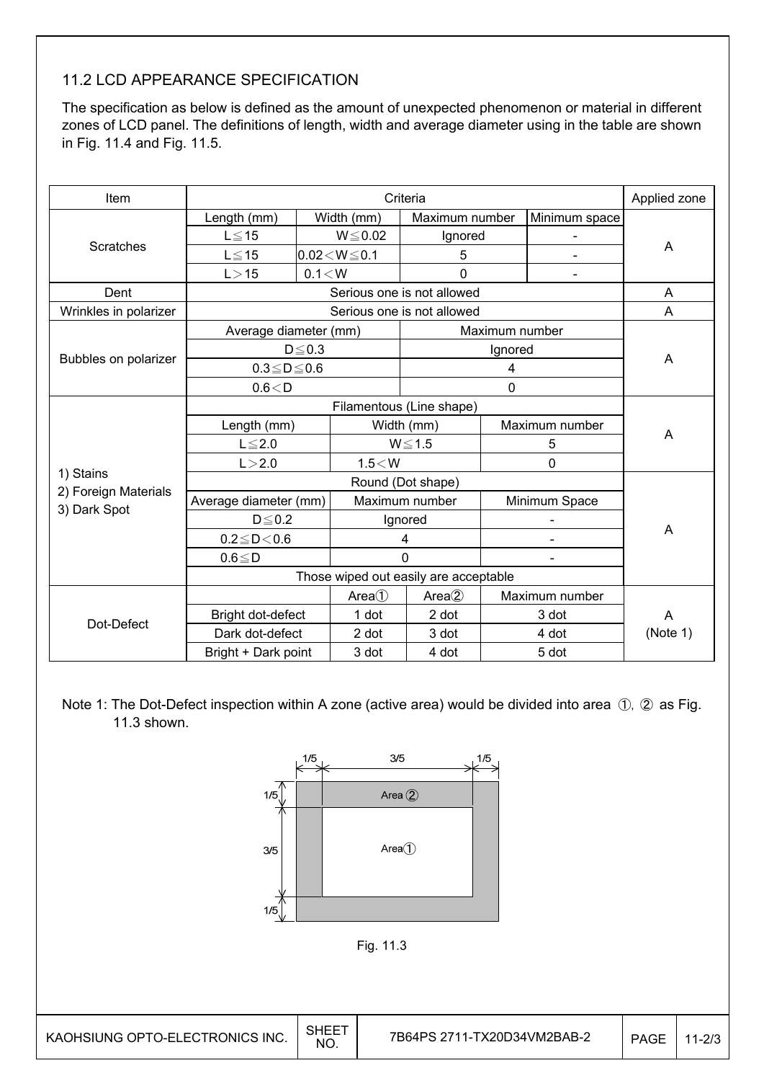### 11.2 LCD APPEARANCE SPECIFICATION

The specification as below is defined as the amount of unexpected phenomenon or material in different zones of LCD panel. The definitions of length, width and average diameter using in the table are shown in Fig. 11.4 and Fig. 11.5.

| Item                  |                       | Applied zone      |                    |                            |                                       |                |          |  |
|-----------------------|-----------------------|-------------------|--------------------|----------------------------|---------------------------------------|----------------|----------|--|
|                       | Length (mm)           |                   | Width (mm)         | Maximum number             |                                       | Minimum space  |          |  |
|                       | $L \leq 15$           |                   | $W \le 0.02$       | Ignored                    |                                       |                |          |  |
| Scratches             | $L \le 15$            |                   | $0.02 < W \le 0.1$ | 5                          |                                       |                | A        |  |
|                       | L > 15                | 0.1 < W           |                    | 0                          |                                       |                |          |  |
| Dent                  |                       |                   |                    | Serious one is not allowed |                                       |                | A        |  |
| Wrinkles in polarizer |                       |                   |                    | Serious one is not allowed |                                       |                | A        |  |
|                       | Average diameter (mm) |                   |                    |                            | Maximum number                        |                |          |  |
|                       |                       | $D \leq 0.3$      |                    |                            | Ignored                               |                |          |  |
| Bubbles on polarizer  | $0.3 \le D \le 0.6$   |                   |                    |                            | 4                                     |                | A        |  |
|                       | 0.6 < D               |                   |                    |                            | $\mathbf 0$                           |                |          |  |
|                       |                       |                   |                    |                            |                                       |                |          |  |
|                       | Length (mm)           |                   |                    | Width (mm)                 |                                       | Maximum number |          |  |
|                       | $L \leq 2.0$          |                   | $W \le 1.5$        |                            |                                       | 5              | A        |  |
|                       | L > 2.0               |                   | $1.5<$ W           |                            |                                       | 0              |          |  |
| 1) Stains             |                       | Round (Dot shape) |                    |                            |                                       |                |          |  |
| 2) Foreign Materials  | Average diameter (mm) |                   |                    | Maximum number             | Minimum Space                         |                |          |  |
| 3) Dark Spot          | $D \le 0.2$           |                   |                    | Ignored                    |                                       |                |          |  |
|                       | $0.2 \le D < 0.6$     |                   |                    | 4                          |                                       |                | A        |  |
|                       | $0.6 \leq D$          |                   |                    | $\Omega$                   |                                       |                |          |  |
|                       |                       |                   |                    |                            | Those wiped out easily are acceptable |                |          |  |
|                       |                       |                   | Area()             | Area <sub>2</sub>          |                                       | Maximum number |          |  |
|                       | Bright dot-defect     |                   | 1 dot              | 2 dot                      |                                       | 3 dot          | A        |  |
| Dot-Defect            | Dark dot-defect       |                   | 2 dot              | 3 dot                      |                                       | 4 dot          | (Note 1) |  |
|                       | Bright + Dark point   |                   | 3 dot              | 4 dot                      |                                       | 5 dot          |          |  |

Note 1: The Dot-Defect inspection within A zone (active area) would be divided into area ①, ② as Fig. 11.3 shown.

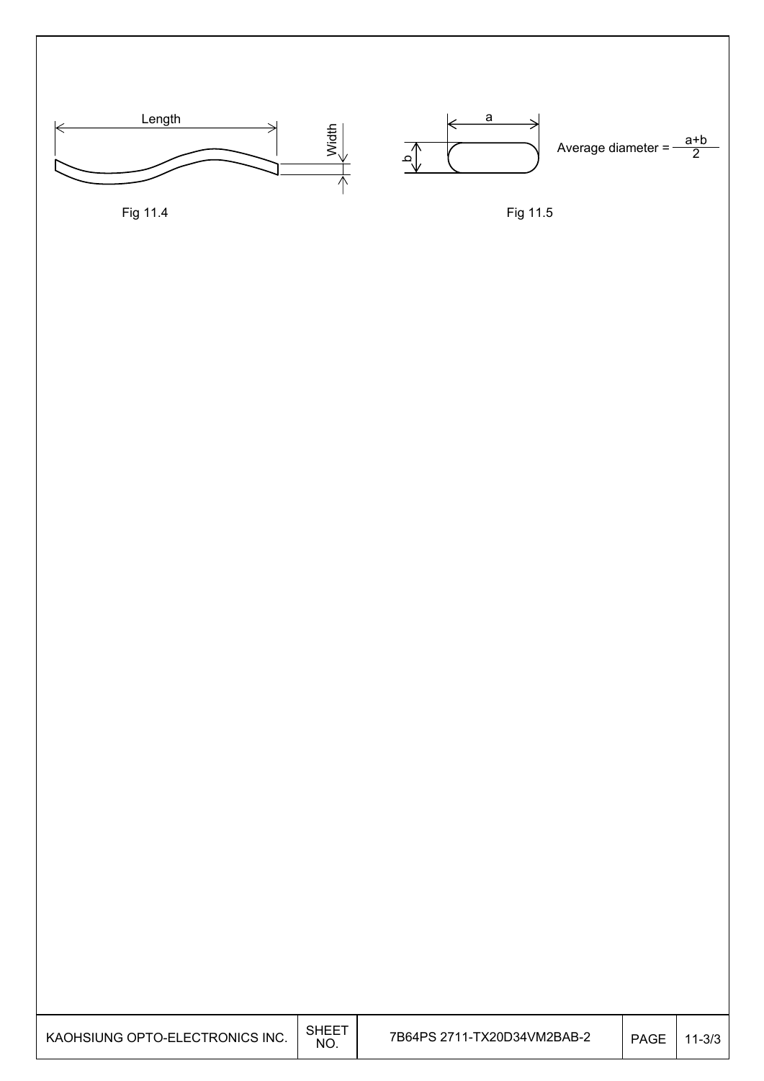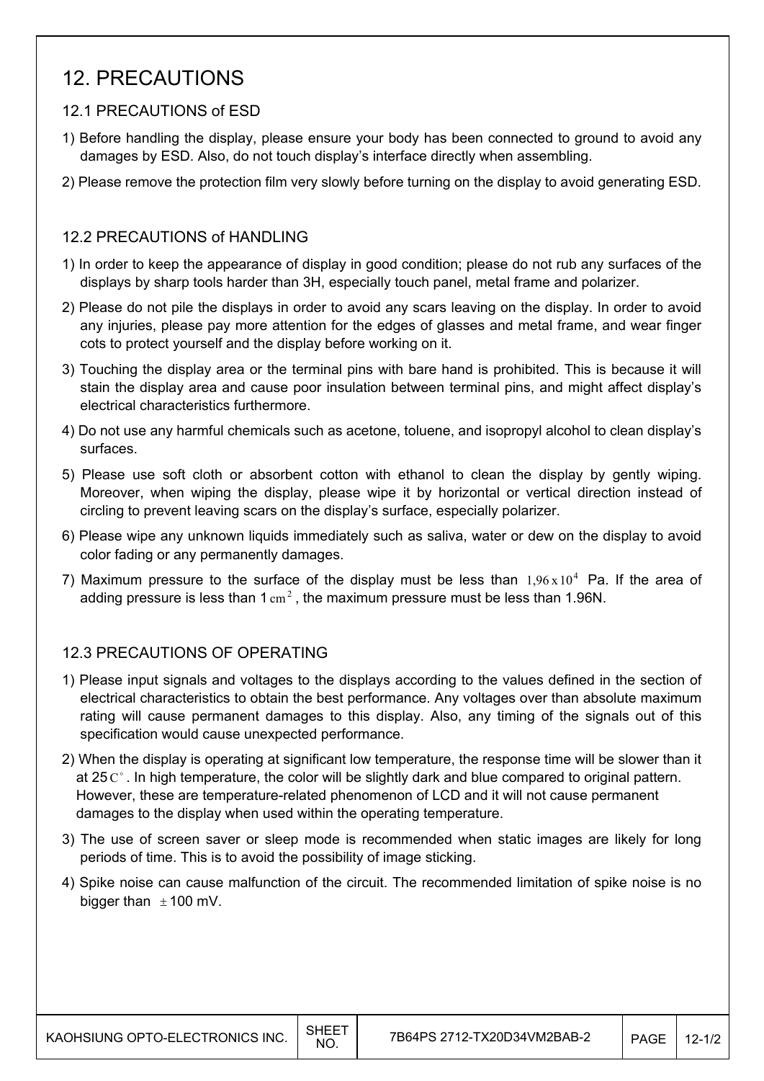## 12. PRECAUTIONS

#### 12.1 PRECAUTIONS of ESD

- 1) Before handling the display, please ensure your body has been connected to ground to avoid any damages by ESD. Also, do not touch display's interface directly when assembling.
- 2) Please remove the protection film very slowly before turning on the display to avoid generating ESD.

#### 12.2 PRECAUTIONS of HANDLING

- 1) In order to keep the appearance of display in good condition; please do not rub any surfaces of the displays by sharp tools harder than 3H, especially touch panel, metal frame and polarizer.
- 2) Please do not pile the displays in order to avoid any scars leaving on the display. In order to avoid any injuries, please pay more attention for the edges of glasses and metal frame, and wear finger cots to protect yourself and the display before working on it.
- 3) Touching the display area or the terminal pins with bare hand is prohibited. This is because it will stain the display area and cause poor insulation between terminal pins, and might affect display's electrical characteristics furthermore.
- 4) Do not use any harmful chemicals such as acetone, toluene, and isopropyl alcohol to clean display's surfaces.
- 5) Please use soft cloth or absorbent cotton with ethanol to clean the display by gently wiping. Moreover, when wiping the display, please wipe it by horizontal or vertical direction instead of circling to prevent leaving scars on the display's surface, especially polarizer.
- 6) Please wipe any unknown liquids immediately such as saliva, water or dew on the display to avoid color fading or any permanently damages.
- 7) Maximum pressure to the surface of the display must be less than  $1.96 \times 10^4$  Pa. If the area of adding pressure is less than 1  $\text{cm}^2$ . the maximum pressure must be less than 1.96N.

#### 12.3 PRECAUTIONS OF OPERATING

- 1) Please input signals and voltages to the displays according to the values defined in the section of electrical characteristics to obtain the best performance. Any voltages over than absolute maximum rating will cause permanent damages to this display. Also, any timing of the signals out of this specification would cause unexpected performance.
- 2) When the display is operating at significant low temperature, the response time will be slower than it at 25  $\mathrm{C}^{\circ}$ . In high temperature, the color will be slightly dark and blue compared to original pattern. However, these are temperature-related phenomenon of LCD and it will not cause permanent damages to the display when used within the operating temperature.
- 3) The use of screen saver or sleep mode is recommended when static images are likely for long periods of time. This is to avoid the possibility of image sticking.
- 4) Spike noise can cause malfunction of the circuit. The recommended limitation of spike noise is no bigger than  $\pm$  100 mV.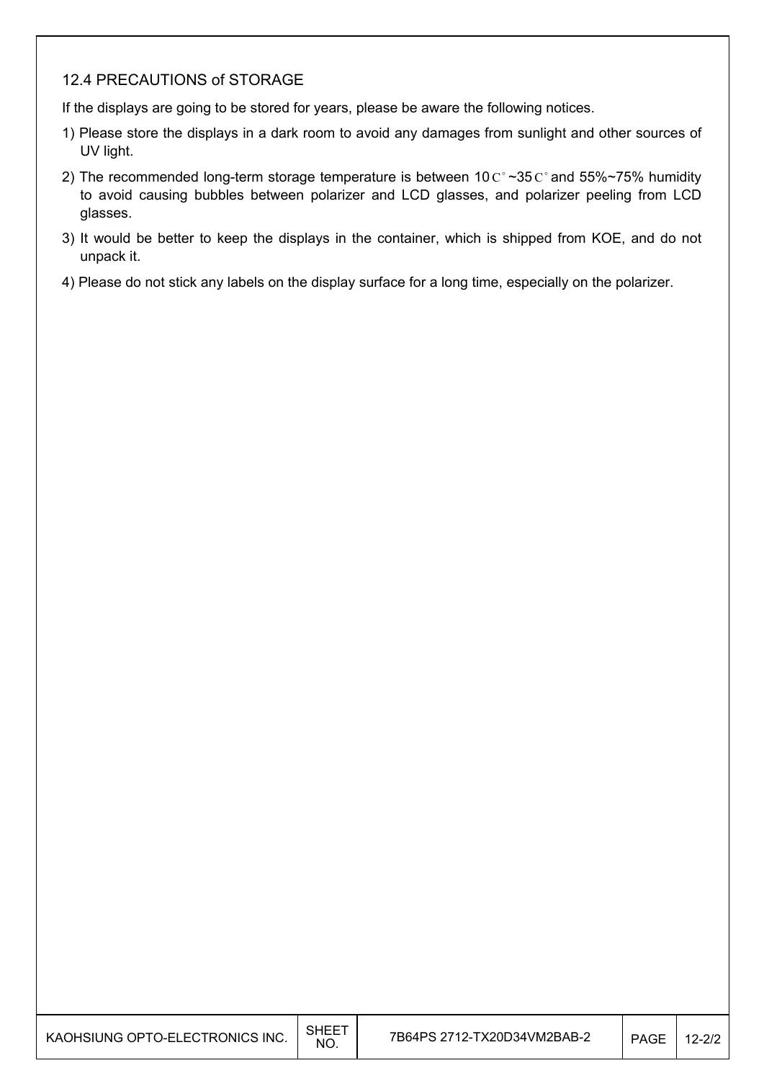#### 12.4 PRECAUTIONS of STORAGE

If the displays are going to be stored for years, please be aware the following notices.

- 1) Please store the displays in a dark room to avoid any damages from sunlight and other sources of UV light.
- 2) The recommended long-term storage temperature is between 10  $C^{\circ}$  ~35  $C^{\circ}$  and 55%~75% humidity to avoid causing bubbles between polarizer and LCD glasses, and polarizer peeling from LCD glasses.
- 3) It would be better to keep the displays in the container, which is shipped from KOE, and do not unpack it.
- 4) Please do not stick any labels on the display surface for a long time, especially on the polarizer.

| KAOHSIUNG OPTO-ELECTRONICS INC. | <b>SHEET</b><br>NO. | 7B64PS 2712-TX20D34VM2BAB-2 | <b>PAGE</b> | $12 - 2/2$ |
|---------------------------------|---------------------|-----------------------------|-------------|------------|